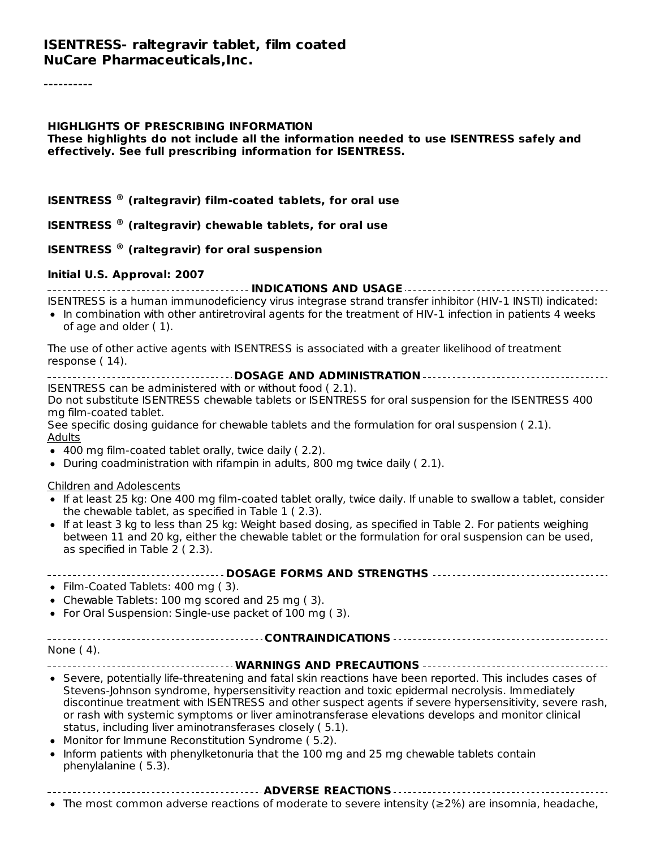# **HIGHLIGHTS OF PRESCRIBING INFORMATION**

**These highlights do not include all the information needed to use ISENTRESS safely and effectively. See full prescribing information for ISENTRESS.**

#### **ISENTRESS (raltegravir) film-coated tablets, for oral use ®**

#### **ISENTRESS (raltegravir) chewable tablets, for oral use ®**

#### **ISENTRESS (raltegravir) for oral suspension ®**

#### **Initial U.S. Approval: 2007**

**INDICATIONS AND USAGE**

ISENTRESS is a human immunodeficiency virus integrase strand transfer inhibitor (HIV-1 INSTI) indicated:

• In combination with other antiretroviral agents for the treatment of HIV-1 infection in patients 4 weeks of age and older ( 1).

The use of other active agents with ISENTRESS is associated with a greater likelihood of treatment response ( 14).

| ISENTRESS can be administered with or without food (2.1). |  |  |
|-----------------------------------------------------------|--|--|

Do not substitute ISENTRESS chewable tablets or ISENTRESS for oral suspension for the ISENTRESS 400 mg film-coated tablet.

See specific dosing guidance for chewable tablets and the formulation for oral suspension ( 2.1). Adults

- 400 mg film-coated tablet orally, twice daily ( 2.2).
- During coadministration with rifampin in adults, 800 mg twice daily (2.1).

Children and Adolescents

- If at least 25 kg: One 400 mg film-coated tablet orally, twice daily. If unable to swallow a tablet, consider the chewable tablet, as specified in Table 1 ( 2.3).
- If at least 3 kg to less than 25 kg: Weight based dosing, as specified in Table 2. For patients weighing between 11 and 20 kg, either the chewable tablet or the formulation for oral suspension can be used, as specified in Table 2 ( 2.3).

#### **DOSAGE FORMS AND STRENGTHS**

- Film-Coated Tablets: 400 mg (3).
- Chewable Tablets: 100 mg scored and 25 mg ( 3).
- For Oral Suspension: Single-use packet of 100 mg (3).

#### **CONTRAINDICATIONS**

None ( 4).

#### **WARNINGS AND PRECAUTIONS**

- Severe, potentially life-threatening and fatal skin reactions have been reported. This includes cases of Stevens-Johnson syndrome, hypersensitivity reaction and toxic epidermal necrolysis. Immediately discontinue treatment with ISENTRESS and other suspect agents if severe hypersensitivity, severe rash, or rash with systemic symptoms or liver aminotransferase elevations develops and monitor clinical status, including liver aminotransferases closely ( 5.1).
- Monitor for Immune Reconstitution Syndrome (5.2).
- Inform patients with phenylketonuria that the 100 mg and 25 mg chewable tablets contain phenylalanine ( 5.3).

The most common adverse reactions of moderate to severe intensity (≥2%) are insomnia, headache,

**ADVERSE REACTIONS**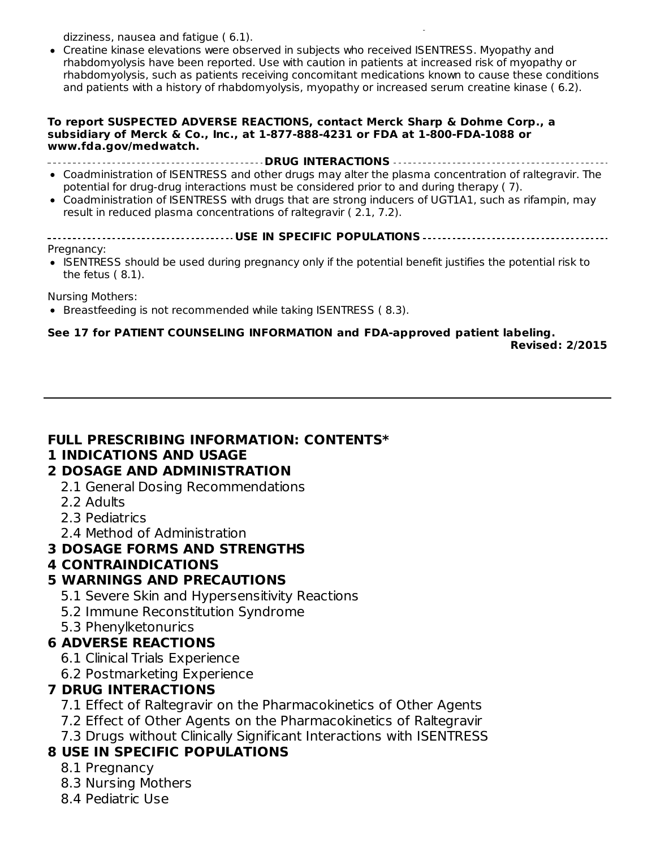$T$ he most common adverse reactions of  $\mathbb{R}^2$  are insomnia, headache, headache, headache, headache, headache, headache, headache, headache, headache, headache, headache, headache, headache, headache, headache, headach dizziness, nausea and fatigue ( 6.1).

Creatine kinase elevations were observed in subjects who received ISENTRESS. Myopathy and rhabdomyolysis have been reported. Use with caution in patients at increased risk of myopathy or rhabdomyolysis, such as patients receiving concomitant medications known to cause these conditions and patients with a history of rhabdomyolysis, myopathy or increased serum creatine kinase ( 6.2).

#### **To report SUSPECTED ADVERSE REACTIONS, contact Merck Sharp & Dohme Corp., a subsidiary of Merck & Co., Inc., at 1-877-888-4231 or FDA at 1-800-FDA-1088 or www.fda.gov/medwatch.**

**DRUG INTERACTIONS**

- Coadministration of ISENTRESS and other drugs may alter the plasma concentration of raltegravir. The potential for drug-drug interactions must be considered prior to and during therapy ( 7).
- Coadministration of ISENTRESS with drugs that are strong inducers of UGT1A1, such as rifampin, may result in reduced plasma concentrations of raltegravir ( 2.1, 7.2).
- **USE IN SPECIFIC POPULATIONS** Pregnancy:
- ISENTRESS should be used during pregnancy only if the potential benefit justifies the potential risk to the fetus ( 8.1).

Nursing Mothers:

• Breastfeeding is not recommended while taking ISENTRESS (8.3).

## **See 17 for PATIENT COUNSELING INFORMATION and FDA-approved patient labeling.**

**Revised: 2/2015**

#### **FULL PRESCRIBING INFORMATION: CONTENTS\***

#### **1 INDICATIONS AND USAGE**

- **2 DOSAGE AND ADMINISTRATION**
	- 2.1 General Dosing Recommendations
	- 2.2 Adults
	- 2.3 Pediatrics
	- 2.4 Method of Administration

#### **3 DOSAGE FORMS AND STRENGTHS**

**4 CONTRAINDICATIONS**

## **5 WARNINGS AND PRECAUTIONS**

- 5.1 Severe Skin and Hypersensitivity Reactions
- 5.2 Immune Reconstitution Syndrome
- 5.3 Phenylketonurics

## **6 ADVERSE REACTIONS**

- 6.1 Clinical Trials Experience
- 6.2 Postmarketing Experience

## **7 DRUG INTERACTIONS**

- 7.1 Effect of Raltegravir on the Pharmacokinetics of Other Agents
- 7.2 Effect of Other Agents on the Pharmacokinetics of Raltegravir
- 7.3 Drugs without Clinically Significant Interactions with ISENTRESS

## **8 USE IN SPECIFIC POPULATIONS**

- 8.1 Pregnancy
- 8.3 Nursing Mothers
- 8.4 Pediatric Use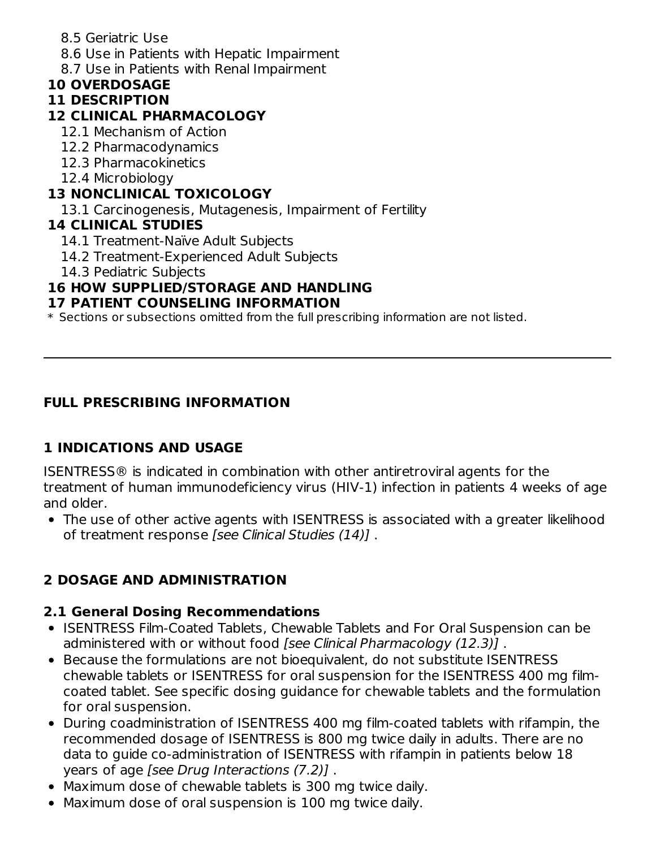- 8.5 Geriatric Use
- 8.6 Use in Patients with Hepatic Impairment
- 8.7 Use in Patients with Renal Impairment

# **10 OVERDOSAGE**

# **11 DESCRIPTION**

## **12 CLINICAL PHARMACOLOGY**

- 12.1 Mechanism of Action
- 12.2 Pharmacodynamics
- 12.3 Pharmacokinetics
- 12.4 Microbiology

## **13 NONCLINICAL TOXICOLOGY**

13.1 Carcinogenesis, Mutagenesis, Impairment of Fertility

## **14 CLINICAL STUDIES**

- 14.1 Treatment-Naïve Adult Subjects
- 14.2 Treatment-Experienced Adult Subjects
- 14.3 Pediatric Subjects

## **16 HOW SUPPLIED/STORAGE AND HANDLING**

## **17 PATIENT COUNSELING INFORMATION**

 $\ast$  Sections or subsections omitted from the full prescribing information are not listed.

## **FULL PRESCRIBING INFORMATION**

# **1 INDICATIONS AND USAGE**

ISENTRESS® is indicated in combination with other antiretroviral agents for the treatment of human immunodeficiency virus (HIV-1) infection in patients 4 weeks of age and older.

The use of other active agents with ISENTRESS is associated with a greater likelihood of treatment response [see Clinical Studies (14)].

# **2 DOSAGE AND ADMINISTRATION**

## **2.1 General Dosing Recommendations**

- ISENTRESS Film-Coated Tablets, Chewable Tablets and For Oral Suspension can be administered with or without food [see Clinical Pharmacology (12.3)].
- Because the formulations are not bioequivalent, do not substitute ISENTRESS chewable tablets or ISENTRESS for oral suspension for the ISENTRESS 400 mg filmcoated tablet. See specific dosing guidance for chewable tablets and the formulation for oral suspension.
- During coadministration of ISENTRESS 400 mg film-coated tablets with rifampin, the recommended dosage of ISENTRESS is 800 mg twice daily in adults. There are no data to guide co-administration of ISENTRESS with rifampin in patients below 18 years of age [see Drug Interactions (7.2)] .
- Maximum dose of chewable tablets is 300 mg twice daily.
- Maximum dose of oral suspension is 100 mg twice daily.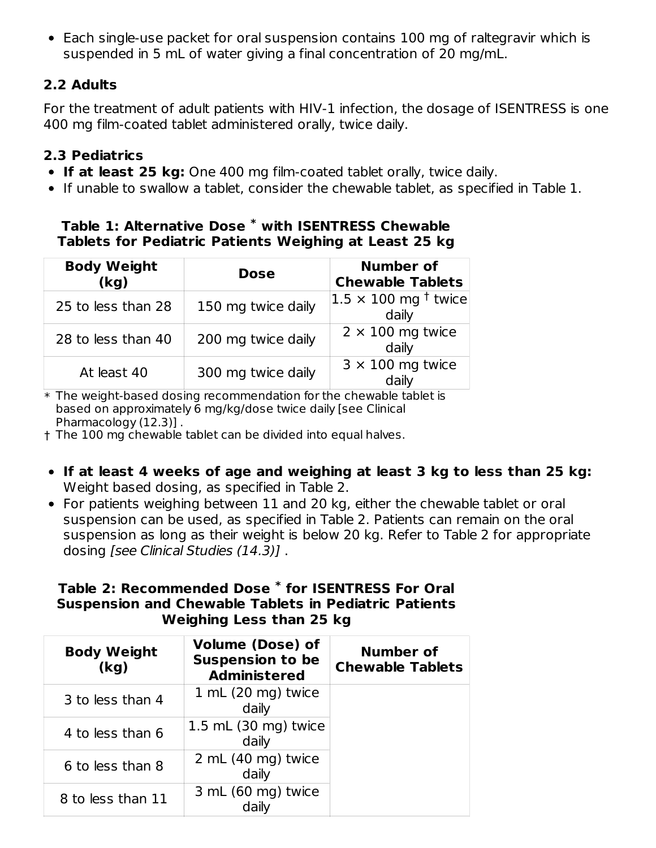Each single-use packet for oral suspension contains 100 mg of raltegravir which is suspended in 5 mL of water giving a final concentration of 20 mg/mL.

## **2.2 Adults**

For the treatment of adult patients with HIV-1 infection, the dosage of ISENTRESS is one 400 mg film-coated tablet administered orally, twice daily.

## **2.3 Pediatrics**

- **If at least 25 kg:** One 400 mg film-coated tablet orally, twice daily.
- If unable to swallow a tablet, consider the chewable tablet, as specified in Table 1.

#### **Table 1: Alternative Dose with ISENTRESS Chewable \* Tablets for Pediatric Patients Weighing at Least 25 kg**

| <b>Body Weight</b><br>(kg) | <b>Dose</b>        | <b>Number of</b><br><b>Chewable Tablets</b>   |
|----------------------------|--------------------|-----------------------------------------------|
| 25 to less than 28         | 150 mg twice daily | $ 1.5 \times 100 \text{ mg}^+$ twice<br>daily |
| 28 to less than 40         | 200 mg twice daily | $2 \times 100$ mg twice<br>daily              |
| At least 40                | 300 mg twice daily | $3 \times 100$ mg twice<br>daily              |

 $\ast$  The weight-based dosing recommendation for the chewable tablet is based on approximately 6 mg/kg/dose twice daily [see Clinical Pharmacology (12.3)] .

† The 100 mg chewable tablet can be divided into equal halves.

- **If at least 4 weeks of age and weighing at least 3 kg to less than 25 kg:** Weight based dosing, as specified in Table 2.
- For patients weighing between 11 and 20 kg, either the chewable tablet or oral suspension can be used, as specified in Table 2. Patients can remain on the oral suspension as long as their weight is below 20 kg. Refer to Table 2 for appropriate dosing [see Clinical Studies (14.3)] .

## **Table 2: Recommended Dose for ISENTRESS For Oral \*Suspension and Chewable Tablets in Pediatric Patients Weighing Less than 25 kg**

| <b>Body Weight</b><br>(kq) | <b>Volume (Dose) of</b><br><b>Suspension to be</b><br><b>Administered</b> | <b>Number of</b><br><b>Chewable Tablets</b> |
|----------------------------|---------------------------------------------------------------------------|---------------------------------------------|
| 3 to less than 4           | $1 \text{ mL}$ (20 mg) twice<br>daily                                     |                                             |
| 4 to less than 6           | 1.5 mL (30 mg) twice<br>daily                                             |                                             |
| 6 to less than 8           | 2 mL (40 mg) twice<br>daily                                               |                                             |
| 8 to less than 11          | 3 mL (60 mg) twice<br>daily                                               |                                             |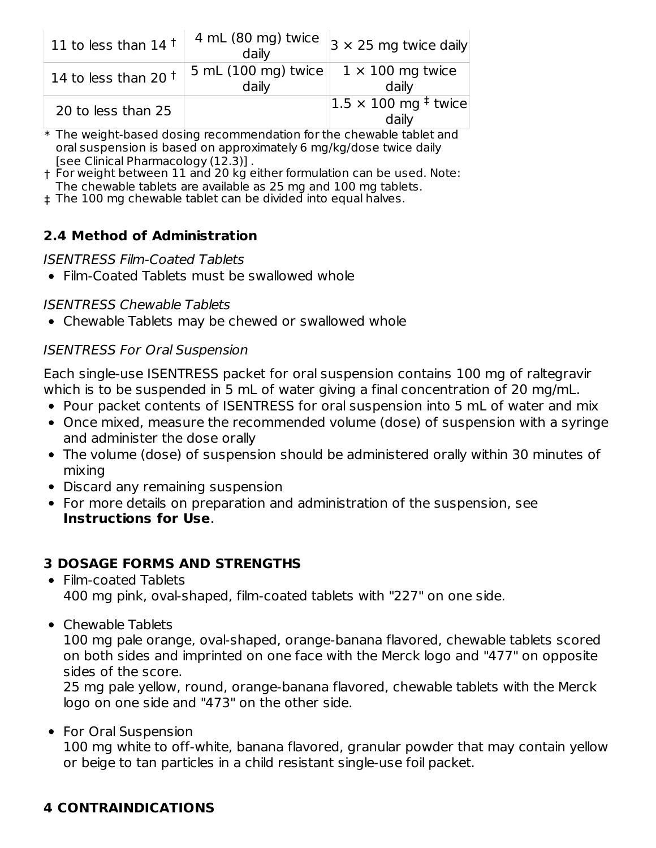| 11 to less than 14 $†$ | 4 mL (80 mg) twice<br>daily      | $3 \times 25$ mg twice daily                           |
|------------------------|----------------------------------|--------------------------------------------------------|
| 14 to less than 20 $†$ | 5 mL (100 mg) twice $ $<br>daily | $1 \times 100$ mg twice<br>daily                       |
| 20 to less than 25     |                                  | $ 1.5 \times 100 \text{ mg}^{\ddagger}$ twice<br>daily |

 $\ast$  The weight-based dosing recommendation for the chewable tablet and oral suspension is based on approximately 6 mg/kg/dose twice daily [see Clinical Pharmacology (12.3)] .

† For weight between 11 and 20 kg either formulation can be used. Note: The chewable tablets are available as 25 mg and 100 mg tablets.

‡ The 100 mg chewable tablet can be divided into equal halves.

## **2.4 Method of Administration**

#### ISENTRESS Film-Coated Tablets

• Film-Coated Tablets must be swallowed whole

#### ISENTRESS Chewable Tablets

Chewable Tablets may be chewed or swallowed whole

## ISENTRESS For Oral Suspension

Each single-use ISENTRESS packet for oral suspension contains 100 mg of raltegravir which is to be suspended in 5 mL of water giving a final concentration of 20 mg/mL.

- Pour packet contents of ISENTRESS for oral suspension into 5 mL of water and mix
- Once mixed, measure the recommended volume (dose) of suspension with a syringe and administer the dose orally
- The volume (dose) of suspension should be administered orally within 30 minutes of mixing
- Discard any remaining suspension
- For more details on preparation and administration of the suspension, see **Instructions for Use**.

## **3 DOSAGE FORMS AND STRENGTHS**

- Film-coated Tablets 400 mg pink, oval-shaped, film-coated tablets with "227" on one side.
- Chewable Tablets

100 mg pale orange, oval-shaped, orange-banana flavored, chewable tablets scored on both sides and imprinted on one face with the Merck logo and "477" on opposite sides of the score.

25 mg pale yellow, round, orange-banana flavored, chewable tablets with the Merck logo on one side and "473" on the other side.

• For Oral Suspension 100 mg white to off-white, banana flavored, granular powder that may contain yellow or beige to tan particles in a child resistant single-use foil packet.

## **4 CONTRAINDICATIONS**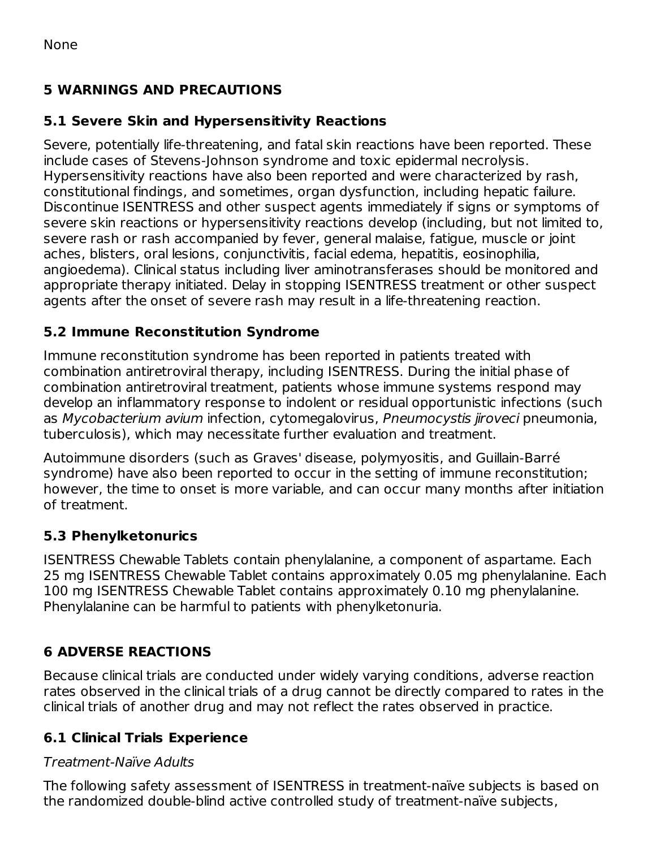## **5 WARNINGS AND PRECAUTIONS**

## **5.1 Severe Skin and Hypersensitivity Reactions**

Severe, potentially life-threatening, and fatal skin reactions have been reported. These include cases of Stevens-Johnson syndrome and toxic epidermal necrolysis. Hypersensitivity reactions have also been reported and were characterized by rash, constitutional findings, and sometimes, organ dysfunction, including hepatic failure. Discontinue ISENTRESS and other suspect agents immediately if signs or symptoms of severe skin reactions or hypersensitivity reactions develop (including, but not limited to, severe rash or rash accompanied by fever, general malaise, fatigue, muscle or joint aches, blisters, oral lesions, conjunctivitis, facial edema, hepatitis, eosinophilia, angioedema). Clinical status including liver aminotransferases should be monitored and appropriate therapy initiated. Delay in stopping ISENTRESS treatment or other suspect agents after the onset of severe rash may result in a life-threatening reaction.

## **5.2 Immune Reconstitution Syndrome**

Immune reconstitution syndrome has been reported in patients treated with combination antiretroviral therapy, including ISENTRESS. During the initial phase of combination antiretroviral treatment, patients whose immune systems respond may develop an inflammatory response to indolent or residual opportunistic infections (such as Mycobacterium avium infection, cytomegalovirus, Pneumocystis jiroveci pneumonia, tuberculosis), which may necessitate further evaluation and treatment.

Autoimmune disorders (such as Graves' disease, polymyositis, and Guillain-Barré syndrome) have also been reported to occur in the setting of immune reconstitution; however, the time to onset is more variable, and can occur many months after initiation of treatment.

## **5.3 Phenylketonurics**

ISENTRESS Chewable Tablets contain phenylalanine, a component of aspartame. Each 25 mg ISENTRESS Chewable Tablet contains approximately 0.05 mg phenylalanine. Each 100 mg ISENTRESS Chewable Tablet contains approximately 0.10 mg phenylalanine. Phenylalanine can be harmful to patients with phenylketonuria.

## **6 ADVERSE REACTIONS**

Because clinical trials are conducted under widely varying conditions, adverse reaction rates observed in the clinical trials of a drug cannot be directly compared to rates in the clinical trials of another drug and may not reflect the rates observed in practice.

## **6.1 Clinical Trials Experience**

#### Treatment-Naïve Adults

The following safety assessment of ISENTRESS in treatment-naïve subjects is based on the randomized double-blind active controlled study of treatment-naïve subjects,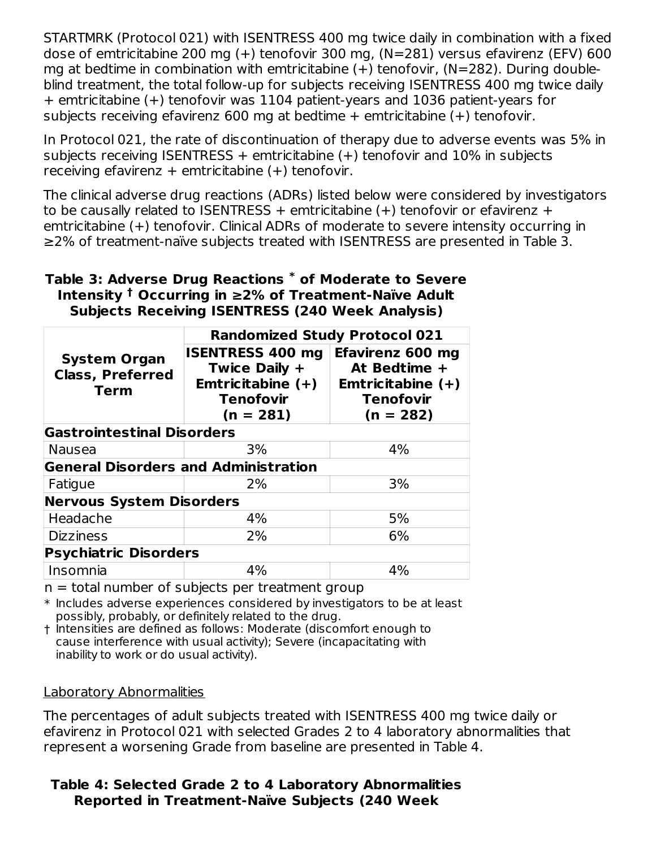STARTMRK (Protocol 021) with ISENTRESS 400 mg twice daily in combination with a fixed dose of emtricitabine 200 mg (+) tenofovir 300 mg, (N=281) versus efavirenz (EFV) 600 mg at bedtime in combination with emtricitabine  $(+)$  tenofovir,  $(N=282)$ . During doubleblind treatment, the total follow-up for subjects receiving ISENTRESS 400 mg twice daily + emtricitabine (+) tenofovir was 1104 patient-years and 1036 patient-years for subjects receiving efavirenz 600 mg at bedtime + emtricitabine (+) tenofovir.

In Protocol 021, the rate of discontinuation of therapy due to adverse events was 5% in subjects receiving ISENTRESS  $+$  emtricitabine  $(+)$  tenofovir and 10% in subjects receiving efavirenz  $+$  emtricitabine  $(+)$  tenofovir.

The clinical adverse drug reactions (ADRs) listed below were considered by investigators to be causally related to ISENTRESS + emtricitabine  $(+)$  tenofovir or efavirenz + emtricitabine (+) tenofovir. Clinical ADRs of moderate to severe intensity occurring in ≥2% of treatment-naïve subjects treated with ISENTRESS are presented in Table 3.

## **Table 3: Adverse Drug Reactions of Moderate to Severe \* Intensity Occurring in ≥2% of Treatment-Naïve Adult † Subjects Receiving ISENTRESS (240 Week Analysis)**

|                                                               | <b>Randomized Study Protocol 021</b>                                                               |                                                                                                   |  |  |
|---------------------------------------------------------------|----------------------------------------------------------------------------------------------------|---------------------------------------------------------------------------------------------------|--|--|
| <b>System Organ</b><br><b>Class, Preferred</b><br><b>Term</b> | <b>ISENTRESS 400 mg</b><br>Twice Daily +<br>Emtricitabine $(+)$<br><b>Tenofovir</b><br>$(n = 281)$ | <b>Efavirenz 600 mg</b><br>At Bedtime +<br>Emtricitabine $(+)$<br><b>Tenofovir</b><br>$(n = 282)$ |  |  |
| <b>Gastrointestinal Disorders</b>                             |                                                                                                    |                                                                                                   |  |  |
| <b>Nausea</b>                                                 | 3%                                                                                                 | 4%                                                                                                |  |  |
| <b>General Disorders and Administration</b>                   |                                                                                                    |                                                                                                   |  |  |
| Fatigue                                                       | 2%                                                                                                 | 3%                                                                                                |  |  |
| <b>Nervous System Disorders</b>                               |                                                                                                    |                                                                                                   |  |  |
| Headache                                                      | 4%                                                                                                 | 5%                                                                                                |  |  |
| <b>Dizziness</b>                                              | 2%                                                                                                 | 6%                                                                                                |  |  |
| <b>Psychiatric Disorders</b>                                  |                                                                                                    |                                                                                                   |  |  |
| Insomnia                                                      | 4%                                                                                                 | 4%                                                                                                |  |  |

 $n =$  total number of subjects per treatment group

 $\ast$  Includes adverse experiences considered by investigators to be at least possibly, probably, or definitely related to the drug.

† Intensities are defined as follows: Moderate (discomfort enough to cause interference with usual activity); Severe (incapacitating with inability to work or do usual activity).

#### Laboratory Abnormalities

The percentages of adult subjects treated with ISENTRESS 400 mg twice daily or efavirenz in Protocol 021 with selected Grades 2 to 4 laboratory abnormalities that represent a worsening Grade from baseline are presented in Table 4.

## **Table 4: Selected Grade 2 to 4 Laboratory Abnormalities Reported in Treatment-Naïve Subjects (240 Week**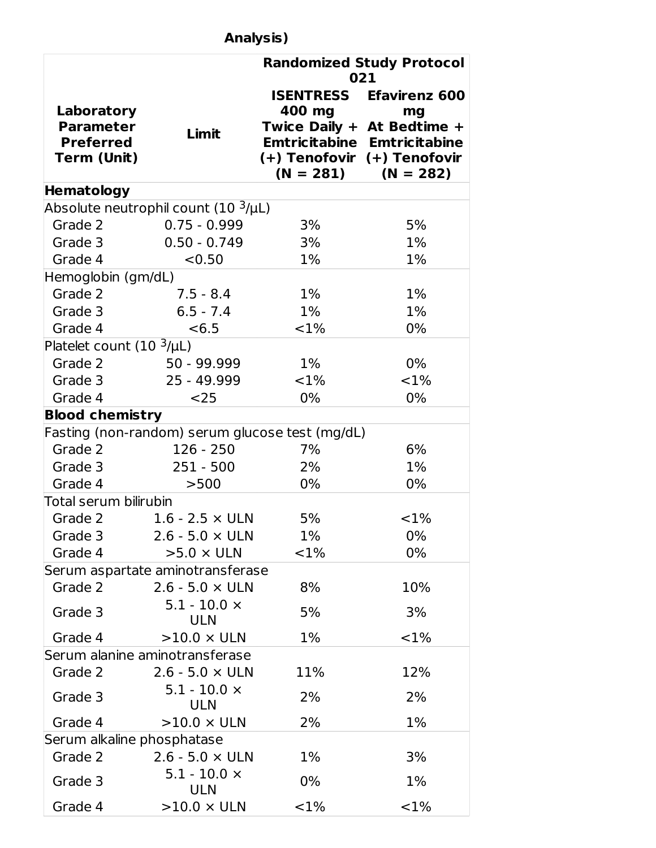# **Analysis)**

|                                  |                                                 |                             | <b>Randomized Study Protocol</b><br>021                            |
|----------------------------------|-------------------------------------------------|-----------------------------|--------------------------------------------------------------------|
| Laboratory<br><b>Parameter</b>   | Limit                                           | 400 mg                      | <b>ISENTRESS Efavirenz 600</b><br>mg<br>Twice Daily + At Bedtime + |
| <b>Preferred</b>                 |                                                 |                             | <b>Emtricitabine Emtricitabine</b>                                 |
| Term (Unit)                      |                                                 | (+) Tenofovir (+) Tenofovir | $(N = 281)$ $(N = 282)$                                            |
| <b>Hematology</b>                |                                                 |                             |                                                                    |
|                                  | Absolute neutrophil count (10 <sup>3</sup> /µL) |                             |                                                                    |
| Grade 2                          | $0.75 - 0.999$                                  | 3%                          | 5%                                                                 |
| Grade 3                          | $0.50 - 0.749$                                  | 3%                          | $1\%$                                                              |
| Grade 4                          | < 0.50                                          | $1\%$                       | 1%                                                                 |
| Hemoglobin (gm/dL)               |                                                 |                             |                                                                    |
| Grade 2                          | $7.5 - 8.4$                                     | $1\%$                       | $1\%$                                                              |
| Grade 3                          | $6.5 - 7.4$                                     | $1\%$                       | $1\%$                                                              |
| Grade 4                          | < 6.5                                           | <1%                         | 0%                                                                 |
| Platelet count $(10^{-3}/\mu L)$ |                                                 |                             |                                                                    |
| Grade 2                          | 50 - 99.999                                     | $1\%$                       | $0\%$                                                              |
| Grade 3                          | 25 - 49.999                                     | ${<}1\%$                    | $< 1\%$                                                            |
| Grade 4                          | $25$                                            | $0\%$                       | 0%                                                                 |
| <b>Blood chemistry</b>           |                                                 |                             |                                                                    |
|                                  | Fasting (non-random) serum glucose test (mg/dL) |                             |                                                                    |
| Grade 2                          | $126 - 250$                                     | 7%                          | 6%                                                                 |
| Grade 3                          | $251 - 500$                                     | 2%                          | 1%                                                                 |
| Grade 4                          | >500                                            | 0%                          | 0%                                                                 |
| Total serum bilirubin            |                                                 |                             |                                                                    |
| Grade 2                          | $1.6$ - 2.5 $\times$ ULN                        | 5%                          | <1%                                                                |
| Grade 3                          | $2.6 - 5.0 \times ULN$                          | $1\%$                       | 0%                                                                 |
| Grade 4                          | $>5.0 \times$ ULN                               | $< 1\%$                     | 0%                                                                 |
|                                  | Serum aspartate aminotransferase                |                             |                                                                    |
| Grade 2                          | $2.6 - 5.0 \times ULN$                          | 8%                          | 10%                                                                |
| Grade 3                          | $5.1 - 10.0 \times$<br><b>ULN</b>               | 5%                          | 3%                                                                 |
| Grade 4                          | $>10.0 \times ULN$                              | 1%                          | ${<}1\%$                                                           |
|                                  | Serum alanine aminotransferase                  |                             |                                                                    |
| Grade 2                          | $2.6 - 5.0 \times ULN$                          | 11%                         | 12%                                                                |
| Grade 3                          | $5.1 - 10.0 \times$<br>ULN                      | 2%                          | 2%                                                                 |
| Grade 4                          | $>10.0 \times ULN$                              | 2%                          | 1%                                                                 |
| Serum alkaline phosphatase       |                                                 |                             |                                                                    |
| Grade 2                          | $2.6 - 5.0 \times ULN$                          | $1\%$                       | 3%                                                                 |
| Grade 3                          | $5.1 - 10.0 \times$<br><b>ULN</b>               | 0%                          | $1\%$                                                              |
| Grade 4                          | $>10.0 \times ULN$                              | ${<}1\%$                    | ${<}1\%$                                                           |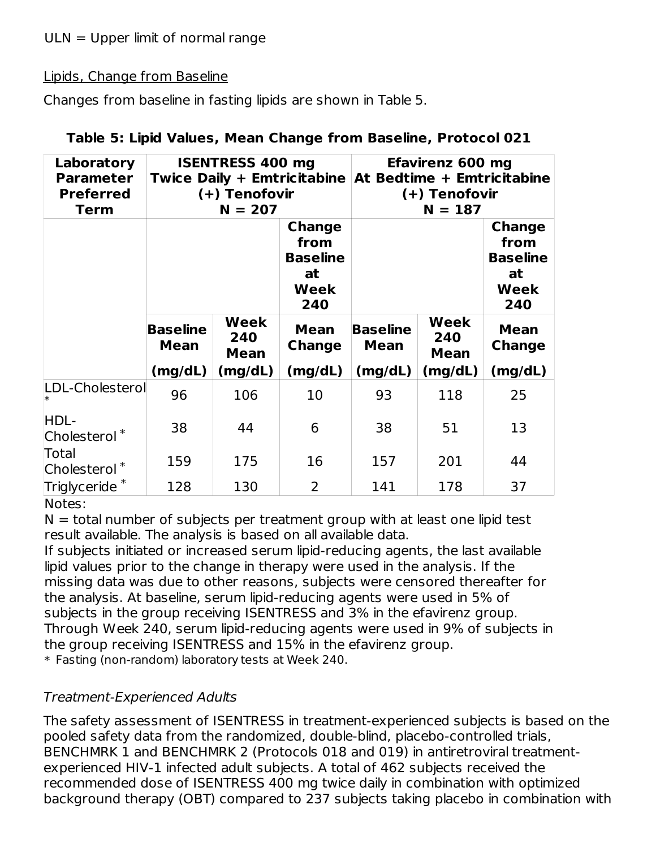$ULN = Upper$  limit of normal range

#### Lipids, Change from Baseline

Changes from baseline in fasting lipids are shown in Table 5.

| Laboratory<br><b>Parameter</b><br><b>Preferred</b><br><b>Term</b> | <b>ISENTRESS 400 mg</b><br>Twice Daily + Emtricitabine At Bedtime + Emtricitabine<br>(+) Tenofovir<br>$N = 207$ |                            |                                                               |                                | <b>Efavirenz 600 mg</b><br>(+) Tenofovir<br>$N = 187$ |                                                                      |
|-------------------------------------------------------------------|-----------------------------------------------------------------------------------------------------------------|----------------------------|---------------------------------------------------------------|--------------------------------|-------------------------------------------------------|----------------------------------------------------------------------|
|                                                                   |                                                                                                                 |                            | <b>Change</b><br>from<br><b>Baseline</b><br>at<br>Week<br>240 |                                |                                                       | <b>Change</b><br>from<br><b>Baseline</b><br>at<br><b>Week</b><br>240 |
|                                                                   | <b>Baseline</b><br><b>Mean</b>                                                                                  | Week<br>240<br><b>Mean</b> | <b>Mean</b><br>Change                                         | <b>Baseline</b><br><b>Mean</b> | Week<br>240<br><b>Mean</b>                            | <b>Mean</b><br><b>Change</b>                                         |
|                                                                   | (mg/dL)                                                                                                         | (mg/dL)                    | (mg/dL)                                                       | (mg/dL)                        | (mg/dL)                                               | (mg/dL)                                                              |
| LDL-Cholesterol                                                   | 96                                                                                                              | 106                        | 10                                                            | 93                             | 118                                                   | 25                                                                   |
| HDL-<br>Cholesterol <sup>*</sup>                                  | 38                                                                                                              | 44                         | 6                                                             | 38                             | 51                                                    | 13                                                                   |
| Total<br>Cholesterol <sup>*</sup>                                 | 159                                                                                                             | 175                        | 16                                                            | 157                            | 201                                                   | 44                                                                   |
| Triglyceride $^*$                                                 | 128                                                                                                             | 130                        | $\overline{2}$                                                | 141                            | 178                                                   | 37                                                                   |

| Table 5: Lipid Values, Mean Change from Baseline, Protocol 021 |  |  |  |
|----------------------------------------------------------------|--|--|--|
|                                                                |  |  |  |

Notes:

 $N =$  total number of subjects per treatment group with at least one lipid test result available. The analysis is based on all available data.

If subjects initiated or increased serum lipid-reducing agents, the last available lipid values prior to the change in therapy were used in the analysis. If the missing data was due to other reasons, subjects were censored thereafter for the analysis. At baseline, serum lipid-reducing agents were used in 5% of subjects in the group receiving ISENTRESS and 3% in the efavirenz group. Through Week 240, serum lipid-reducing agents were used in 9% of subjects in the group receiving ISENTRESS and 15% in the efavirenz group. \* Fasting (non-random) laboratory tests at Week 240.

## Treatment-Experienced Adults

The safety assessment of ISENTRESS in treatment-experienced subjects is based on the pooled safety data from the randomized, double-blind, placebo-controlled trials, BENCHMRK 1 and BENCHMRK 2 (Protocols 018 and 019) in antiretroviral treatmentexperienced HIV-1 infected adult subjects. A total of 462 subjects received the recommended dose of ISENTRESS 400 mg twice daily in combination with optimized background therapy (OBT) compared to 237 subjects taking placebo in combination with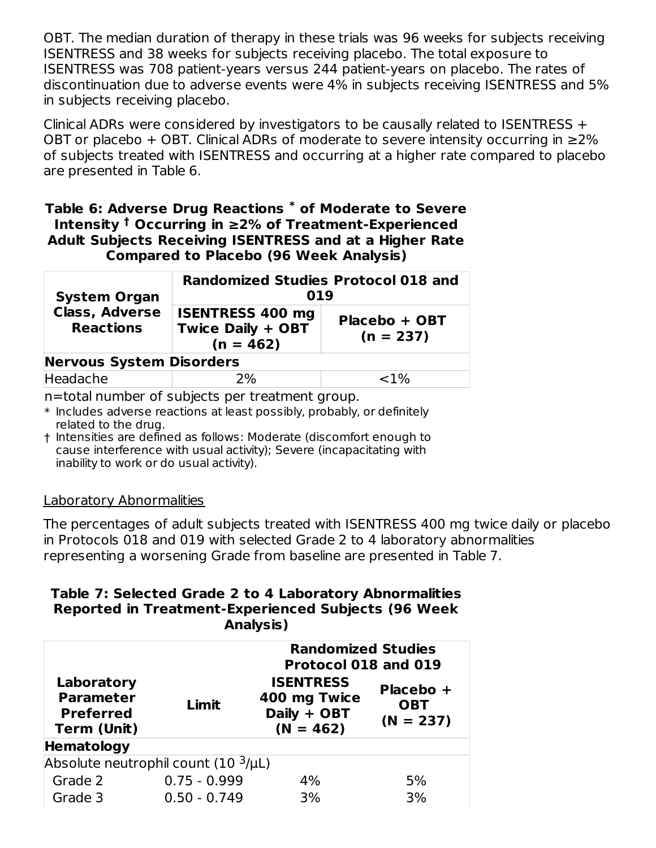OBT. The median duration of therapy in these trials was 96 weeks for subjects receiving ISENTRESS and 38 weeks for subjects receiving placebo. The total exposure to ISENTRESS was 708 patient-years versus 244 patient-years on placebo. The rates of discontinuation due to adverse events were 4% in subjects receiving ISENTRESS and 5% in subjects receiving placebo.

Clinical ADRs were considered by investigators to be causally related to ISENTRESS + OBT or placebo + OBT. Clinical ADRs of moderate to severe intensity occurring in  $\geq 2\%$ of subjects treated with ISENTRESS and occurring at a higher rate compared to placebo are presented in Table 6.

#### **Table 6: Adverse Drug Reactions of Moderate to Severe \* Intensity** <sup>†</sup> Occurring in ≥2% of Treatment-Experienced **Adult Subjects Receiving ISENTRESS and at a Higher Rate Compared to Placebo (96 Week Analysis)**

| <b>System Organ</b>                       | <b>Randomized Studies Protocol 018 and</b><br>019                  |                              |  |
|-------------------------------------------|--------------------------------------------------------------------|------------------------------|--|
| <b>Class, Adverse</b><br><b>Reactions</b> | <b>ISENTRESS 400 mg</b><br><b>Twice Daily + OBT</b><br>$(n = 462)$ | Placebo + OBT<br>$(n = 237)$ |  |
| <b>Nervous System Disorders</b>           |                                                                    |                              |  |
| Headache                                  | 2%                                                                 | ${<}1\%$                     |  |

n=total number of subjects per treatment group.

- $\ast$  Includes adverse reactions at least possibly, probably, or definitely related to the drug.
- † Intensities are defined as follows: Moderate (discomfort enough to cause interference with usual activity); Severe (incapacitating with inability to work or do usual activity).

#### Laboratory Abnormalities

The percentages of adult subjects treated with ISENTRESS 400 mg twice daily or placebo in Protocols 018 and 019 with selected Grade 2 to 4 laboratory abnormalities representing a worsening Grade from baseline are presented in Table 7.

#### **Table 7: Selected Grade 2 to 4 Laboratory Abnormalities Reported in Treatment-Experienced Subjects (96 Week Analysis)**

| Laboratory<br><b>Parameter</b><br><b>Preferred</b><br>Term (Unit) | Limit                                           | <b>Randomized Studies</b><br>Protocol 018 and 019<br><b>ISENTRESS</b><br>Placebo +<br>400 mg Twice<br><b>OBT</b><br>Daily + OBT<br>$(N = 237)$<br>$(N = 462)$ |    |  |
|-------------------------------------------------------------------|-------------------------------------------------|---------------------------------------------------------------------------------------------------------------------------------------------------------------|----|--|
| <b>Hematology</b>                                                 |                                                 |                                                                                                                                                               |    |  |
|                                                                   | Absolute neutrophil count (10 <sup>3</sup> /µL) |                                                                                                                                                               |    |  |
| Grade 2                                                           | $0.75 - 0.999$                                  | 4%                                                                                                                                                            | 5% |  |
| Grade 3                                                           | $0.50 - 0.749$                                  | 3%                                                                                                                                                            | 3% |  |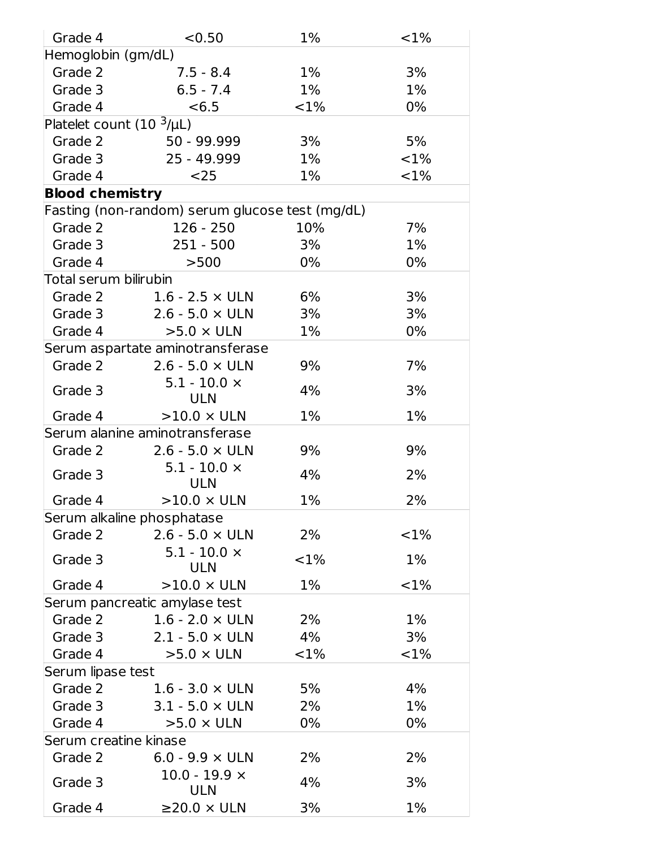| Grade 4                      | < 0.50                                          | 1%       | <1%     |
|------------------------------|-------------------------------------------------|----------|---------|
| Hemoglobin (gm/dL)           |                                                 |          |         |
| Grade 2                      | $7.5 - 8.4$                                     | $1\%$    | 3%      |
| Grade 3                      | $6.5 - 7.4$                                     | $1\%$    | $1\%$   |
| Grade 4                      | < 6.5                                           | ${<}1\%$ | 0%      |
| Platelet count $(103/\mu L)$ |                                                 |          |         |
| Grade 2                      | 50 - 99.999                                     | 3%       | 5%      |
| Grade 3                      | 25 - 49.999                                     | $1\%$    | <1%     |
| Grade 4                      | $25$                                            | $1\%$    | $< 1\%$ |
| <b>Blood chemistry</b>       |                                                 |          |         |
|                              | Fasting (non-random) serum glucose test (mg/dL) |          |         |
| Grade 2                      | $126 - 250$                                     | 10%      | 7%      |
| Grade 3                      | $251 - 500$                                     | 3%       | 1%      |
| Grade 4                      | >500                                            | $0\%$    | 0%      |
| Total serum bilirubin        |                                                 |          |         |
| Grade 2                      | $1.6$ - $2.5 \times$ ULN                        | 6%       | 3%      |
| Grade 3                      | $2.6 - 5.0 \times ULN$                          | 3%       | 3%      |
| Grade 4                      | $>5.0 \times$ ULN                               | $1\%$    | 0%      |
|                              | Serum aspartate aminotransferase                |          |         |
| Grade 2                      | $2.6 - 5.0 \times ULN$                          | 9%       | 7%      |
| Grade 3                      | $5.1 - 10.0 \times$<br><b>ULN</b>               | 4%       | 3%      |
| Grade 4                      | $>10.0 \times ULN$                              | $1\%$    | $1\%$   |
|                              | Serum alanine aminotransferase                  |          |         |
| Grade 2                      | $2.6 - 5.0 \times ULN$                          | 9%       | 9%      |
| Grade 3                      | $5.1 - 10.0 \times$<br><b>ULN</b>               | 4%       | 2%      |
| Grade 4                      | $>10.0 \times ULN$                              | 1%       | 2%      |
|                              | Serum alkaline phosphatase                      |          |         |
| Grade 2                      | $2.6 - 5.0 \times ULN$                          | 2%       | <1%     |
| Grade 3                      | $5.1 - 10.0 \times$<br><b>ULN</b>               | ${<}1\%$ | $1\%$   |
| Grade 4                      | $>10.0 \times ULN$                              | 1%       | <1%     |
|                              | Serum pancreatic amylase test                   |          |         |
| Grade 2                      | $1.6$ - $2.0 \times$ ULN                        | 2%       | $1\%$   |
| Grade 3                      | $2.1 - 5.0 \times ULN$                          | 4%       | 3%      |
| Grade 4                      | $>5.0 \times ULN$                               | ${<}1\%$ | $< 1\%$ |
| Serum lipase test            |                                                 |          |         |
| Grade 2                      | $1.6$ - $3.0 \times$ ULN                        | 5%       | 4%      |
| Grade 3                      | $3.1 - 5.0 \times ULN$                          | 2%       | $1\%$   |
| Grade 4                      | $>5.0 \times ULN$                               | 0%       | 0%      |
| Serum creatine kinase        |                                                 |          |         |
| Grade 2                      | 6.0 - 9.9 $\times$ ULN                          | 2%       | 2%      |
| Grade 3                      | $10.0 - 19.9 \times$<br><b>ULN</b>              | 4%       | 3%      |
| Grade 4                      | $\geq$ 20.0 $\times$ ULN                        | 3%       | $1\%$   |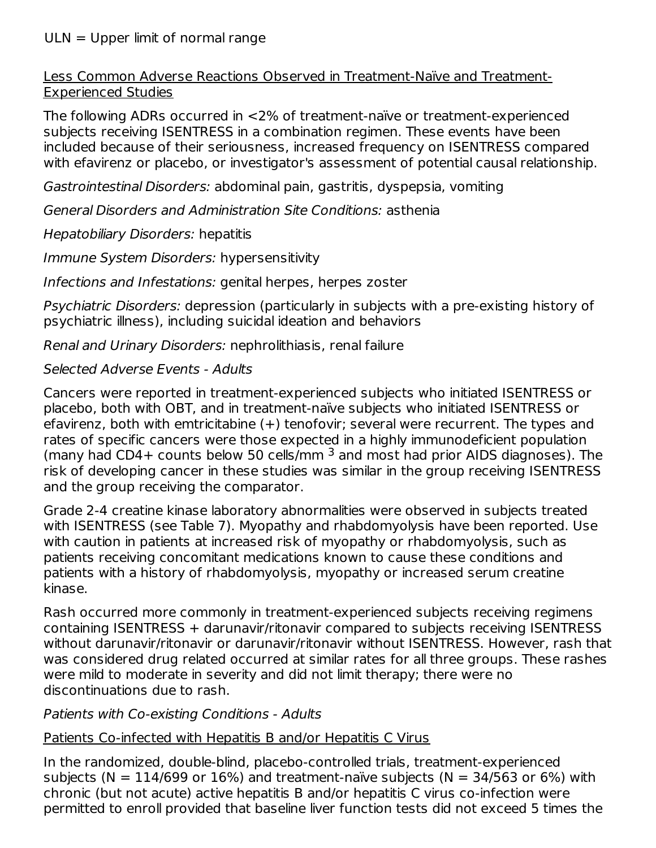#### ULN = Upper limit of normal range

Less Common Adverse Reactions Observed in Treatment-Naïve and Treatment-Experienced Studies

The following ADRs occurred in <2% of treatment-naïve or treatment-experienced subjects receiving ISENTRESS in a combination regimen. These events have been included because of their seriousness, increased frequency on ISENTRESS compared with efavirenz or placebo, or investigator's assessment of potential causal relationship.

Gastrointestinal Disorders: abdominal pain, gastritis, dyspepsia, vomiting

General Disorders and Administration Site Conditions: asthenia

Hepatobiliary Disorders: hepatitis

Immune System Disorders: hypersensitivity

Infections and Infestations: genital herpes, herpes zoster

Psychiatric Disorders: depression (particularly in subjects with a pre-existing history of psychiatric illness), including suicidal ideation and behaviors

Renal and Urinary Disorders: nephrolithiasis, renal failure

#### Selected Adverse Events - Adults

Cancers were reported in treatment-experienced subjects who initiated ISENTRESS or placebo, both with OBT, and in treatment-naïve subjects who initiated ISENTRESS or efavirenz, both with emtricitabine (+) tenofovir; several were recurrent. The types and rates of specific cancers were those expected in a highly immunodeficient population (many had CD4+ counts below 50 cells/mm  $3$  and most had prior AIDS diagnoses). The risk of developing cancer in these studies was similar in the group receiving ISENTRESS and the group receiving the comparator.

Grade 2-4 creatine kinase laboratory abnormalities were observed in subjects treated with ISENTRESS (see Table 7). Myopathy and rhabdomyolysis have been reported. Use with caution in patients at increased risk of myopathy or rhabdomyolysis, such as patients receiving concomitant medications known to cause these conditions and patients with a history of rhabdomyolysis, myopathy or increased serum creatine kinase.

Rash occurred more commonly in treatment-experienced subjects receiving regimens containing ISENTRESS + darunavir/ritonavir compared to subjects receiving ISENTRESS without darunavir/ritonavir or darunavir/ritonavir without ISENTRESS. However, rash that was considered drug related occurred at similar rates for all three groups. These rashes were mild to moderate in severity and did not limit therapy; there were no discontinuations due to rash.

#### Patients with Co-existing Conditions - Adults

## Patients Co-infected with Hepatitis B and/or Hepatitis C Virus

In the randomized, double-blind, placebo-controlled trials, treatment-experienced subjects ( $N = 114/699$  or 16%) and treatment-naïve subjects ( $N = 34/563$  or 6%) with chronic (but not acute) active hepatitis B and/or hepatitis C virus co-infection were permitted to enroll provided that baseline liver function tests did not exceed 5 times the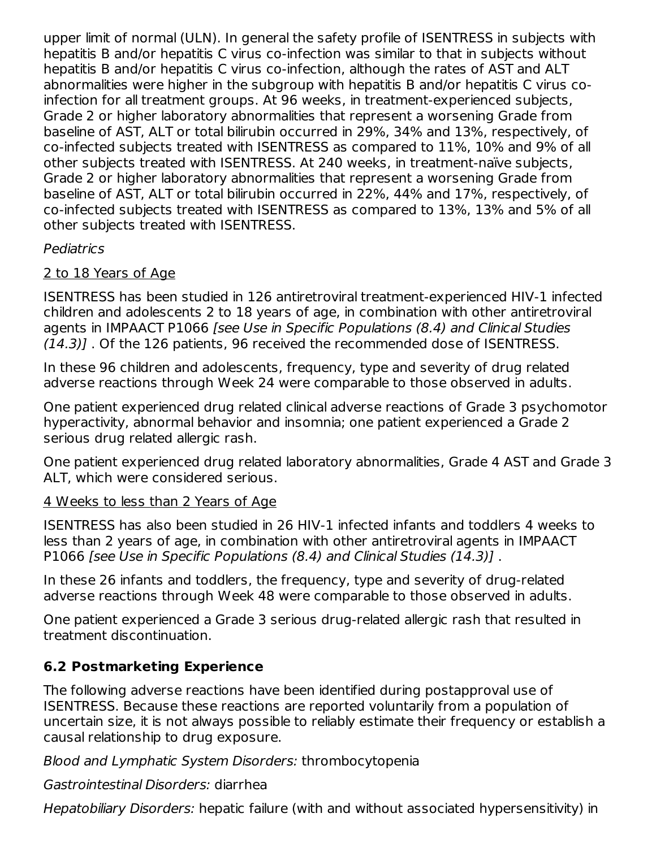upper limit of normal (ULN). In general the safety profile of ISENTRESS in subjects with hepatitis B and/or hepatitis C virus co-infection was similar to that in subjects without hepatitis B and/or hepatitis C virus co-infection, although the rates of AST and ALT abnormalities were higher in the subgroup with hepatitis B and/or hepatitis C virus coinfection for all treatment groups. At 96 weeks, in treatment-experienced subjects, Grade 2 or higher laboratory abnormalities that represent a worsening Grade from baseline of AST, ALT or total bilirubin occurred in 29%, 34% and 13%, respectively, of co-infected subjects treated with ISENTRESS as compared to 11%, 10% and 9% of all other subjects treated with ISENTRESS. At 240 weeks, in treatment-naïve subjects, Grade 2 or higher laboratory abnormalities that represent a worsening Grade from baseline of AST, ALT or total bilirubin occurred in 22%, 44% and 17%, respectively, of co-infected subjects treated with ISENTRESS as compared to 13%, 13% and 5% of all other subjects treated with ISENTRESS.

## Pediatrics

## 2 to 18 Years of Age

ISENTRESS has been studied in 126 antiretroviral treatment-experienced HIV-1 infected children and adolescents 2 to 18 years of age, in combination with other antiretroviral agents in IMPAACT P1066 [see Use in Specific Populations (8.4) and Clinical Studies (14.3)] . Of the 126 patients, 96 received the recommended dose of ISENTRESS.

In these 96 children and adolescents, frequency, type and severity of drug related adverse reactions through Week 24 were comparable to those observed in adults.

One patient experienced drug related clinical adverse reactions of Grade 3 psychomotor hyperactivity, abnormal behavior and insomnia; one patient experienced a Grade 2 serious drug related allergic rash.

One patient experienced drug related laboratory abnormalities, Grade 4 AST and Grade 3 ALT, which were considered serious.

#### 4 Weeks to less than 2 Years of Age

ISENTRESS has also been studied in 26 HIV-1 infected infants and toddlers 4 weeks to less than 2 years of age, in combination with other antiretroviral agents in IMPAACT P1066 [see Use in Specific Populations (8.4) and Clinical Studies (14.3)].

In these 26 infants and toddlers, the frequency, type and severity of drug-related adverse reactions through Week 48 were comparable to those observed in adults.

One patient experienced a Grade 3 serious drug-related allergic rash that resulted in treatment discontinuation.

## **6.2 Postmarketing Experience**

The following adverse reactions have been identified during postapproval use of ISENTRESS. Because these reactions are reported voluntarily from a population of uncertain size, it is not always possible to reliably estimate their frequency or establish a causal relationship to drug exposure.

Blood and Lymphatic System Disorders: thrombocytopenia

Gastrointestinal Disorders: diarrhea

Hepatobiliary Disorders: hepatic failure (with and without associated hypersensitivity) in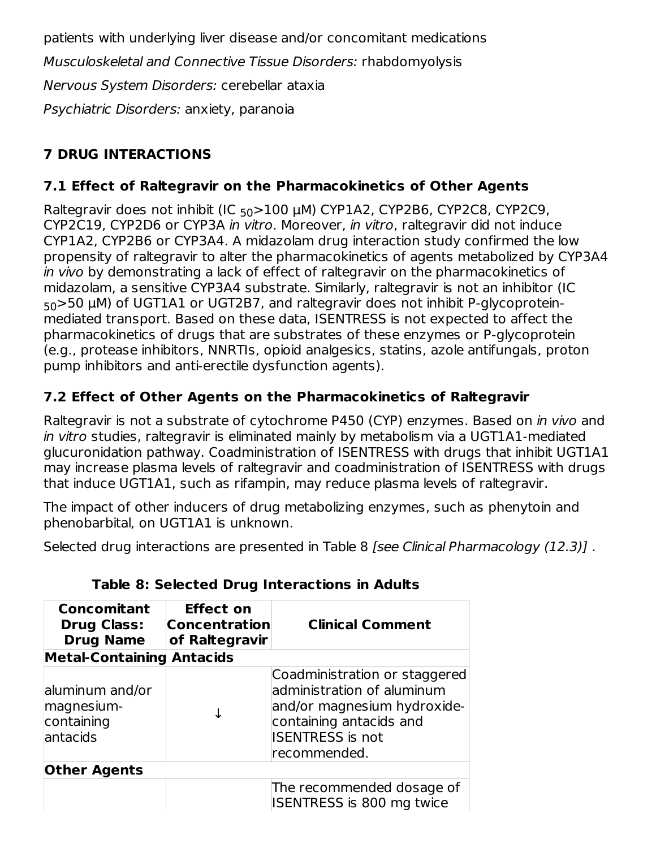patients with underlying liver disease and/or concomitant medications Musculoskeletal and Connective Tissue Disorders: rhabdomyolysis Nervous System Disorders: cerebellar ataxia Psychiatric Disorders: anxiety, paranoia

# **7 DRUG INTERACTIONS**

## **7.1 Effect of Raltegravir on the Pharmacokinetics of Other Agents**

Raltegravir does not inhibit (IC <sub>50</sub>>100 µM) CYP1A2, CYP2B6, CYP2C8, CYP2C9, CYP2C19, CYP2D6 or CYP3A in vitro. Moreover, in vitro, raltegravir did not induce CYP1A2, CYP2B6 or CYP3A4. A midazolam drug interaction study confirmed the low propensity of raltegravir to alter the pharmacokinetics of agents metabolized by CYP3A4 in vivo by demonstrating a lack of effect of raltegravir on the pharmacokinetics of midazolam, a sensitive CYP3A4 substrate. Similarly, raltegravir is not an inhibitor (IC  $_{50}$ >50  $\mu$ M) of UGT1A1 or UGT2B7, and raltegravir does not inhibit P-glycoproteinmediated transport. Based on these data, ISENTRESS is not expected to affect the pharmacokinetics of drugs that are substrates of these enzymes or P-glycoprotein (e.g., protease inhibitors, NNRTIs, opioid analgesics, statins, azole antifungals, proton pump inhibitors and anti-erectile dysfunction agents).

## **7.2 Effect of Other Agents on the Pharmacokinetics of Raltegravir**

Raltegravir is not a substrate of cytochrome P450 (CYP) enzymes. Based on in vivo and in vitro studies, raltegravir is eliminated mainly by metabolism via a UGT1A1-mediated glucuronidation pathway. Coadministration of ISENTRESS with drugs that inhibit UGT1A1 may increase plasma levels of raltegravir and coadministration of ISENTRESS with drugs that induce UGT1A1, such as rifampin, may reduce plasma levels of raltegravir.

The impact of other inducers of drug metabolizing enzymes, such as phenytoin and phenobarbital, on UGT1A1 is unknown.

Selected drug interactions are presented in Table 8 [see Clinical Pharmacology (12.3)] .

| Concomitant<br><b>Drug Class:</b><br><b>Drug Name</b>    | <b>Effect on</b><br><b>Concentration</b><br>of Raltegravir | <b>Clinical Comment</b>                                                                                                                                          |
|----------------------------------------------------------|------------------------------------------------------------|------------------------------------------------------------------------------------------------------------------------------------------------------------------|
| <b>Metal-Containing Antacids</b>                         |                                                            |                                                                                                                                                                  |
| aluminum and/or<br>magnesium-<br>containing<br>lantacids |                                                            | Coadministration or staggered<br>administration of aluminum<br>and/or magnesium hydroxide-<br>containing antacids and<br><b>ISENTRESS</b> is not<br>recommended. |
| <b>Other Agents</b>                                      |                                                            |                                                                                                                                                                  |
|                                                          |                                                            | The recommended dosage of<br>ISENTRESS is 800 mg twice                                                                                                           |

## **Table 8: Selected Drug Interactions in Adults**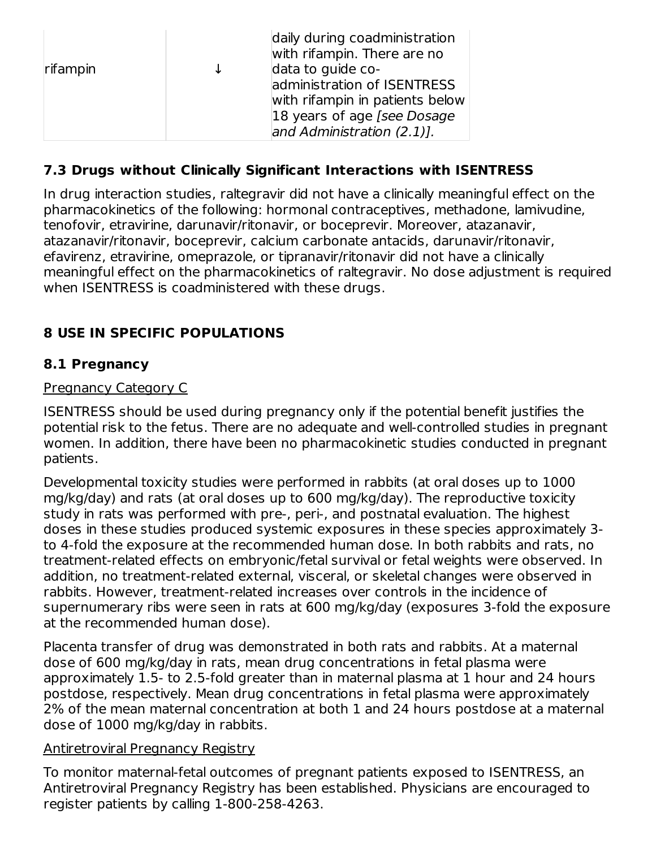| rifampin | $\downarrow$ | daily during coadministration<br>with rifampin. There are no<br>data to guide co-<br>administration of ISENTRESS<br>with rifampin in patients below<br>18 years of age [see Dosage]<br>and Administration (2.1)]. |
|----------|--------------|-------------------------------------------------------------------------------------------------------------------------------------------------------------------------------------------------------------------|
|----------|--------------|-------------------------------------------------------------------------------------------------------------------------------------------------------------------------------------------------------------------|

## **7.3 Drugs without Clinically Significant Interactions with ISENTRESS**

In drug interaction studies, raltegravir did not have a clinically meaningful effect on the pharmacokinetics of the following: hormonal contraceptives, methadone, lamivudine, tenofovir, etravirine, darunavir/ritonavir, or boceprevir. Moreover, atazanavir, atazanavir/ritonavir, boceprevir, calcium carbonate antacids, darunavir/ritonavir, efavirenz, etravirine, omeprazole, or tipranavir/ritonavir did not have a clinically meaningful effect on the pharmacokinetics of raltegravir. No dose adjustment is required when ISENTRESS is coadministered with these drugs.

## **8 USE IN SPECIFIC POPULATIONS**

## **8.1 Pregnancy**

## Pregnancy Category C

ISENTRESS should be used during pregnancy only if the potential benefit justifies the potential risk to the fetus. There are no adequate and well-controlled studies in pregnant women. In addition, there have been no pharmacokinetic studies conducted in pregnant patients.

Developmental toxicity studies were performed in rabbits (at oral doses up to 1000 mg/kg/day) and rats (at oral doses up to 600 mg/kg/day). The reproductive toxicity study in rats was performed with pre-, peri-, and postnatal evaluation. The highest doses in these studies produced systemic exposures in these species approximately 3 to 4-fold the exposure at the recommended human dose. In both rabbits and rats, no treatment-related effects on embryonic/fetal survival or fetal weights were observed. In addition, no treatment-related external, visceral, or skeletal changes were observed in rabbits. However, treatment-related increases over controls in the incidence of supernumerary ribs were seen in rats at 600 mg/kg/day (exposures 3-fold the exposure at the recommended human dose).

Placenta transfer of drug was demonstrated in both rats and rabbits. At a maternal dose of 600 mg/kg/day in rats, mean drug concentrations in fetal plasma were approximately 1.5- to 2.5-fold greater than in maternal plasma at 1 hour and 24 hours postdose, respectively. Mean drug concentrations in fetal plasma were approximately 2% of the mean maternal concentration at both 1 and 24 hours postdose at a maternal dose of 1000 mg/kg/day in rabbits.

#### Antiretroviral Pregnancy Registry

To monitor maternal-fetal outcomes of pregnant patients exposed to ISENTRESS, an Antiretroviral Pregnancy Registry has been established. Physicians are encouraged to register patients by calling 1-800-258-4263.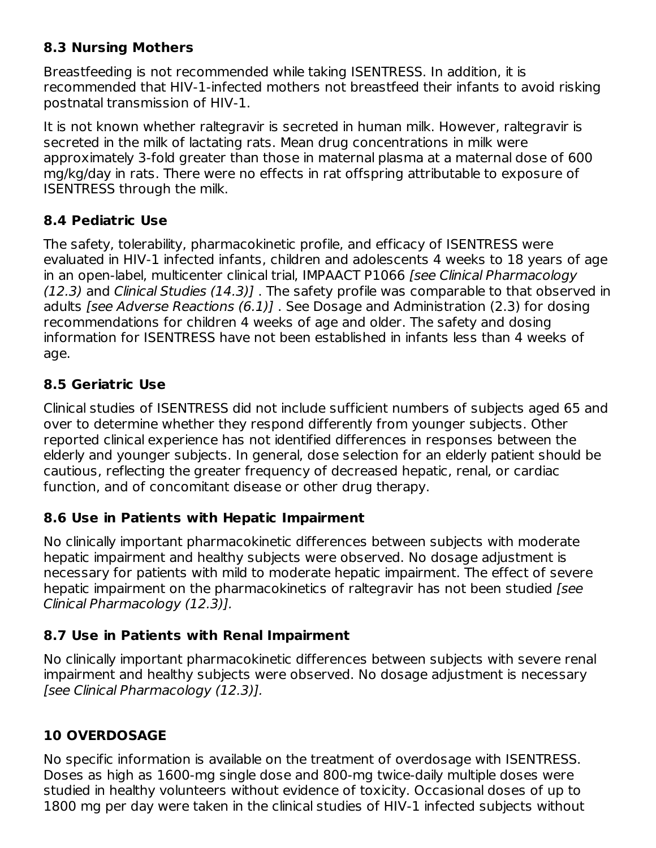## **8.3 Nursing Mothers**

Breastfeeding is not recommended while taking ISENTRESS. In addition, it is recommended that HIV-1-infected mothers not breastfeed their infants to avoid risking postnatal transmission of HIV-1.

It is not known whether raltegravir is secreted in human milk. However, raltegravir is secreted in the milk of lactating rats. Mean drug concentrations in milk were approximately 3-fold greater than those in maternal plasma at a maternal dose of 600 mg/kg/day in rats. There were no effects in rat offspring attributable to exposure of ISENTRESS through the milk.

## **8.4 Pediatric Use**

The safety, tolerability, pharmacokinetic profile, and efficacy of ISENTRESS were evaluated in HIV-1 infected infants, children and adolescents 4 weeks to 18 years of age in an open-label, multicenter clinical trial, IMPAACT P1066 [see Clinical Pharmacology (12.3) and Clinical Studies (14.3)] . The safety profile was comparable to that observed in adults [see Adverse Reactions (6.1)] . See Dosage and Administration (2.3) for dosing recommendations for children 4 weeks of age and older. The safety and dosing information for ISENTRESS have not been established in infants less than 4 weeks of age.

## **8.5 Geriatric Use**

Clinical studies of ISENTRESS did not include sufficient numbers of subjects aged 65 and over to determine whether they respond differently from younger subjects. Other reported clinical experience has not identified differences in responses between the elderly and younger subjects. In general, dose selection for an elderly patient should be cautious, reflecting the greater frequency of decreased hepatic, renal, or cardiac function, and of concomitant disease or other drug therapy.

## **8.6 Use in Patients with Hepatic Impairment**

No clinically important pharmacokinetic differences between subjects with moderate hepatic impairment and healthy subjects were observed. No dosage adjustment is necessary for patients with mild to moderate hepatic impairment. The effect of severe hepatic impairment on the pharmacokinetics of raltegravir has not been studied [see Clinical Pharmacology (12.3)].

## **8.7 Use in Patients with Renal Impairment**

No clinically important pharmacokinetic differences between subjects with severe renal impairment and healthy subjects were observed. No dosage adjustment is necessary [see Clinical Pharmacology (12.3)].

## **10 OVERDOSAGE**

No specific information is available on the treatment of overdosage with ISENTRESS. Doses as high as 1600-mg single dose and 800-mg twice-daily multiple doses were studied in healthy volunteers without evidence of toxicity. Occasional doses of up to 1800 mg per day were taken in the clinical studies of HIV-1 infected subjects without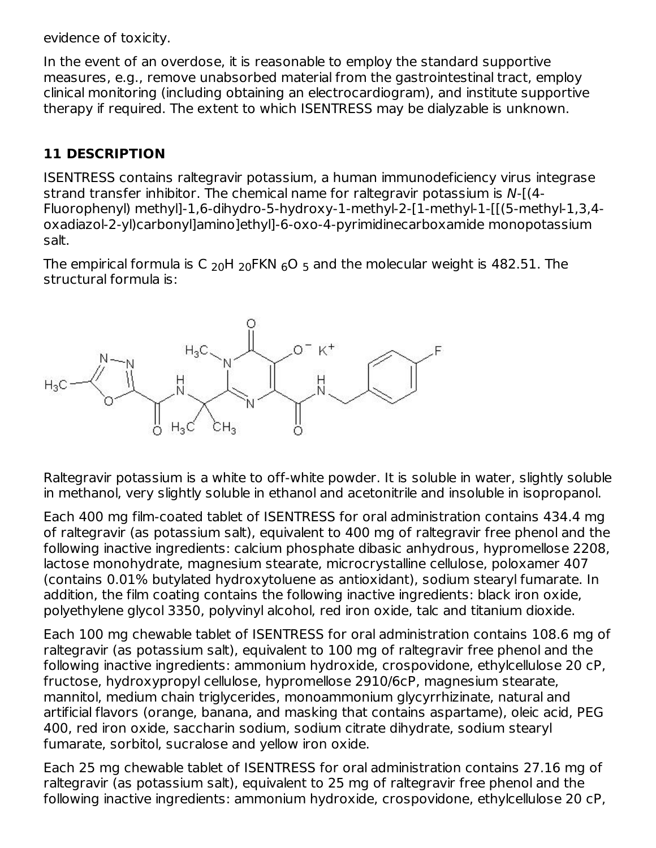evidence of toxicity.

In the event of an overdose, it is reasonable to employ the standard supportive measures, e.g., remove unabsorbed material from the gastrointestinal tract, employ clinical monitoring (including obtaining an electrocardiogram), and institute supportive therapy if required. The extent to which ISENTRESS may be dialyzable is unknown.

## **11 DESCRIPTION**

ISENTRESS contains raltegravir potassium, a human immunodeficiency virus integrase strand transfer inhibitor. The chemical name for raltegravir potassium is N-[(4- Fluorophenyl) methyl]-1,6-dihydro-5-hydroxy-1-methyl-2-[1-methyl-1-[[(5-methyl-1,3,4 oxadiazol-2-yl)carbonyl]amino]ethyl]-6-oxo-4-pyrimidinecarboxamide monopotassium salt.

The empirical formula is C  $_{20}$ H  $_{20}$ FKN  $_{6}$ O  $_{5}$  and the molecular weight is 482.51. The structural formula is:



Raltegravir potassium is a white to off-white powder. It is soluble in water, slightly soluble in methanol, very slightly soluble in ethanol and acetonitrile and insoluble in isopropanol.

Each 400 mg film-coated tablet of ISENTRESS for oral administration contains 434.4 mg of raltegravir (as potassium salt), equivalent to 400 mg of raltegravir free phenol and the following inactive ingredients: calcium phosphate dibasic anhydrous, hypromellose 2208, lactose monohydrate, magnesium stearate, microcrystalline cellulose, poloxamer 407 (contains 0.01% butylated hydroxytoluene as antioxidant), sodium stearyl fumarate. In addition, the film coating contains the following inactive ingredients: black iron oxide, polyethylene glycol 3350, polyvinyl alcohol, red iron oxide, talc and titanium dioxide.

Each 100 mg chewable tablet of ISENTRESS for oral administration contains 108.6 mg of raltegravir (as potassium salt), equivalent to 100 mg of raltegravir free phenol and the following inactive ingredients: ammonium hydroxide, crospovidone, ethylcellulose 20 cP, fructose, hydroxypropyl cellulose, hypromellose 2910/6cP, magnesium stearate, mannitol, medium chain triglycerides, monoammonium glycyrrhizinate, natural and artificial flavors (orange, banana, and masking that contains aspartame), oleic acid, PEG 400, red iron oxide, saccharin sodium, sodium citrate dihydrate, sodium stearyl fumarate, sorbitol, sucralose and yellow iron oxide.

Each 25 mg chewable tablet of ISENTRESS for oral administration contains 27.16 mg of raltegravir (as potassium salt), equivalent to 25 mg of raltegravir free phenol and the following inactive ingredients: ammonium hydroxide, crospovidone, ethylcellulose 20 cP,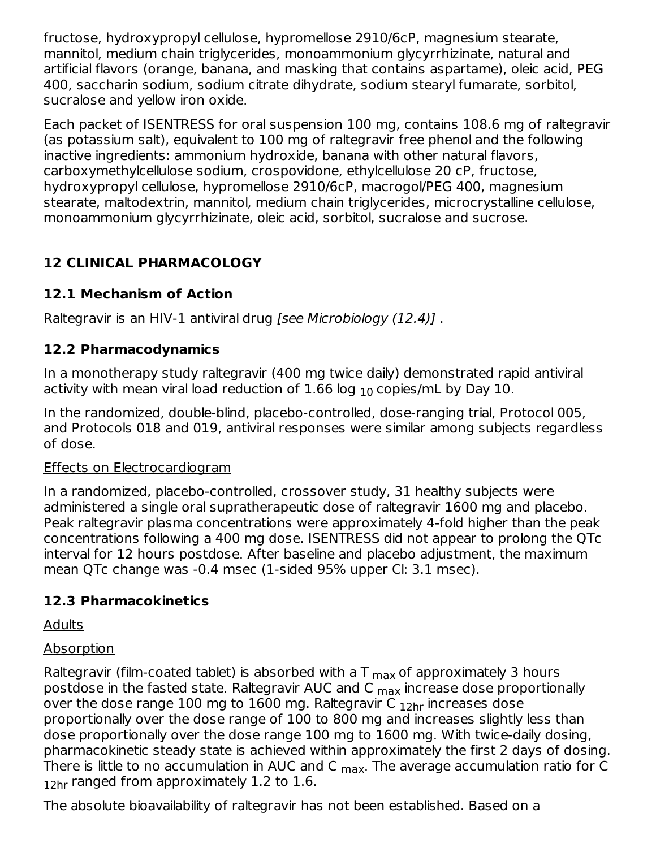fructose, hydroxypropyl cellulose, hypromellose 2910/6cP, magnesium stearate, mannitol, medium chain triglycerides, monoammonium glycyrrhizinate, natural and artificial flavors (orange, banana, and masking that contains aspartame), oleic acid, PEG 400, saccharin sodium, sodium citrate dihydrate, sodium stearyl fumarate, sorbitol, sucralose and yellow iron oxide.

Each packet of ISENTRESS for oral suspension 100 mg, contains 108.6 mg of raltegravir (as potassium salt), equivalent to 100 mg of raltegravir free phenol and the following inactive ingredients: ammonium hydroxide, banana with other natural flavors, carboxymethylcellulose sodium, crospovidone, ethylcellulose 20 cP, fructose, hydroxypropyl cellulose, hypromellose 2910/6cP, macrogol/PEG 400, magnesium stearate, maltodextrin, mannitol, medium chain triglycerides, microcrystalline cellulose, monoammonium glycyrrhizinate, oleic acid, sorbitol, sucralose and sucrose.

# **12 CLINICAL PHARMACOLOGY**

## **12.1 Mechanism of Action**

Raltegravir is an HIV-1 antiviral drug [see Microbiology (12.4)] .

## **12.2 Pharmacodynamics**

In a monotherapy study raltegravir (400 mg twice daily) demonstrated rapid antiviral activity with mean viral load reduction of  $1.66$  log  $_{10}$  copies/mL by Day  $10.$ 

In the randomized, double-blind, placebo-controlled, dose-ranging trial, Protocol 005, and Protocols 018 and 019, antiviral responses were similar among subjects regardless of dose.

#### Effects on Electrocardiogram

In a randomized, placebo-controlled, crossover study, 31 healthy subjects were administered a single oral supratherapeutic dose of raltegravir 1600 mg and placebo. Peak raltegravir plasma concentrations were approximately 4-fold higher than the peak concentrations following a 400 mg dose. ISENTRESS did not appear to prolong the QTc interval for 12 hours postdose. After baseline and placebo adjustment, the maximum mean QTc change was -0.4 msec (1-sided 95% upper Cl: 3.1 msec).

## **12.3 Pharmacokinetics**

Adults

## Absorption

Raltegravir (film-coated tablet) is absorbed with a T  $_{\sf max}$  of approximately 3 hours postdose in the fasted state. Raltegravir AUC and C <sub>max</sub> increase dose proportionally over the dose range  $100$  mg to  $1600$  mg. Raltegravir C  $_{\rm 12hr}$  increases dose proportionally over the dose range of 100 to 800 mg and increases slightly less than dose proportionally over the dose range 100 mg to 1600 mg. With twice-daily dosing, pharmacokinetic steady state is achieved within approximately the first 2 days of dosing. There is little to no accumulation in AUC and C <sub>max</sub>. The average accumulation ratio for C  $_{12$ hr <code>ranged from</code> approximately 1.2 to 1.6.

The absolute bioavailability of raltegravir has not been established. Based on a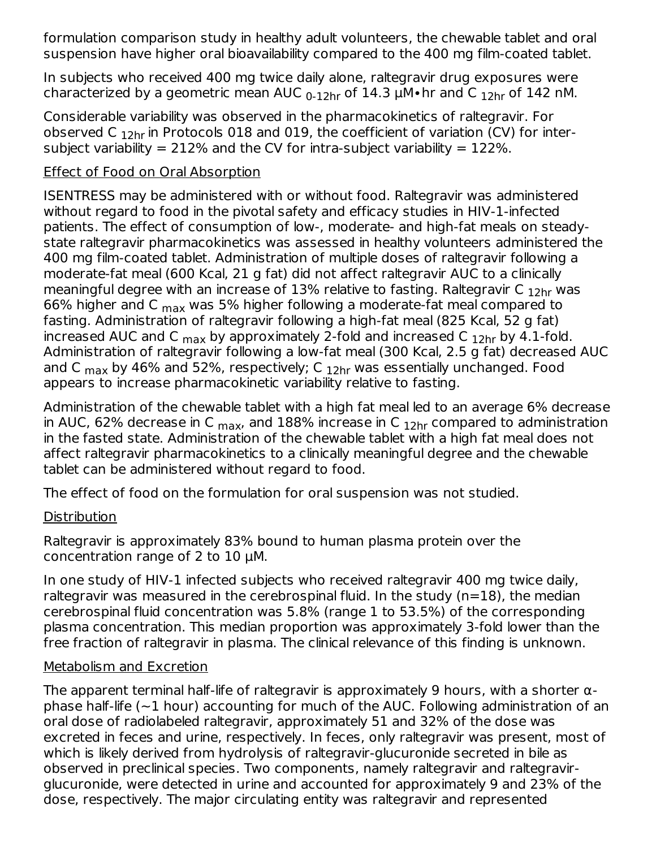formulation comparison study in healthy adult volunteers, the chewable tablet and oral suspension have higher oral bioavailability compared to the 400 mg film-coated tablet.

In subjects who received 400 mg twice daily alone, raltegravir drug exposures were characterized by a geometric mean AUC  $_{\rm 0\text{-}12hr}$  of  $14.3$   $\mu$ M•hr and C  $_{\rm 12hr}$  of  $142$  nM.

Considerable variability was observed in the pharmacokinetics of raltegravir. For observed C  $_{\rm 12hr}$  in Protocols 018 and 019, the coefficient of variation (CV) for intersubject variability = 212% and the CV for intra-subject variability =  $122\%$ .

## Effect of Food on Oral Absorption

ISENTRESS may be administered with or without food. Raltegravir was administered without regard to food in the pivotal safety and efficacy studies in HIV-1-infected patients. The effect of consumption of low-, moderate- and high-fat meals on steadystate raltegravir pharmacokinetics was assessed in healthy volunteers administered the 400 mg film-coated tablet. Administration of multiple doses of raltegravir following a moderate-fat meal (600 Kcal, 21 g fat) did not affect raltegravir AUC to a clinically meaningful degree with an increase of  $13\%$  relative to fasting. Raltegravir C  $_{12\sf{hr}}$  was 66% higher and C  $_{\sf max}$  was 5% higher following a moderate-fat meal compared to fasting. Administration of raltegravir following a high-fat meal (825 Kcal, 52 g fat) increased AUC and C  $_{\sf max}$  by approximately 2-fold and increased C  $_{\sf 12hr}$  by 4.1-fold. Administration of raltegravir following a low-fat meal (300 Kcal, 2.5 g fat) decreased AUC and C  $_{\sf max}$  by 46% and 52%, respectively; C  $_{\sf 12hr}$  was essentially unchanged. Food appears to increase pharmacokinetic variability relative to fasting.

Administration of the chewable tablet with a high fat meal led to an average 6% decrease in AUC, 62% decrease in C  $_{\sf max}$ , and 188% increase in C  $_{\sf 12hr}$  compared to administration in the fasted state. Administration of the chewable tablet with a high fat meal does not affect raltegravir pharmacokinetics to a clinically meaningful degree and the chewable tablet can be administered without regard to food.

The effect of food on the formulation for oral suspension was not studied.

## **Distribution**

Raltegravir is approximately 83% bound to human plasma protein over the concentration range of 2 to 10 µM.

In one study of HIV-1 infected subjects who received raltegravir 400 mg twice daily, raltegravir was measured in the cerebrospinal fluid. In the study (n=18), the median cerebrospinal fluid concentration was 5.8% (range 1 to 53.5%) of the corresponding plasma concentration. This median proportion was approximately 3-fold lower than the free fraction of raltegravir in plasma. The clinical relevance of this finding is unknown.

## Metabolism and Excretion

The apparent terminal half-life of raltegravir is approximately 9 hours, with a shorter αphase half-life  $(-1$  hour) accounting for much of the AUC. Following administration of an oral dose of radiolabeled raltegravir, approximately 51 and 32% of the dose was excreted in feces and urine, respectively. In feces, only raltegravir was present, most of which is likely derived from hydrolysis of raltegravir-glucuronide secreted in bile as observed in preclinical species. Two components, namely raltegravir and raltegravirglucuronide, were detected in urine and accounted for approximately 9 and 23% of the dose, respectively. The major circulating entity was raltegravir and represented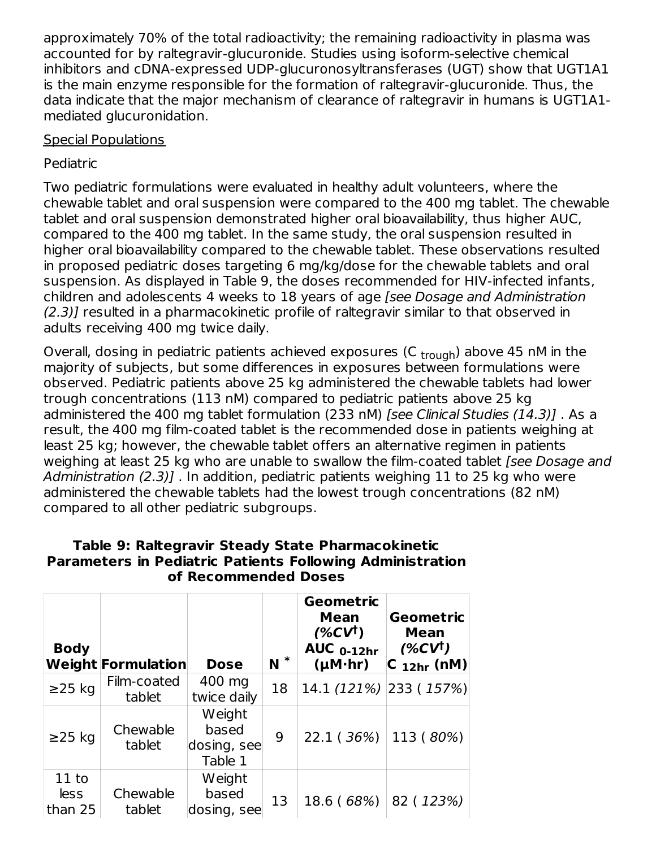approximately 70% of the total radioactivity; the remaining radioactivity in plasma was accounted for by raltegravir-glucuronide. Studies using isoform-selective chemical inhibitors and cDNA-expressed UDP-glucuronosyltransferases (UGT) show that UGT1A1 is the main enzyme responsible for the formation of raltegravir-glucuronide. Thus, the data indicate that the major mechanism of clearance of raltegravir in humans is UGT1A1 mediated glucuronidation.

#### Special Populations

## Pediatric

Two pediatric formulations were evaluated in healthy adult volunteers, where the chewable tablet and oral suspension were compared to the 400 mg tablet. The chewable tablet and oral suspension demonstrated higher oral bioavailability, thus higher AUC, compared to the 400 mg tablet. In the same study, the oral suspension resulted in higher oral bioavailability compared to the chewable tablet. These observations resulted in proposed pediatric doses targeting 6 mg/kg/dose for the chewable tablets and oral suspension. As displayed in Table 9, the doses recommended for HIV-infected infants, children and adolescents 4 weeks to 18 years of age [see Dosage and Administration (2.3)] resulted in a pharmacokinetic profile of raltegravir similar to that observed in adults receiving 400 mg twice daily.

Overall, dosing in pediatric patients achieved exposures (C <sub>trough</sub>) above 45 nM in the majority of subjects, but some differences in exposures between formulations were observed. Pediatric patients above 25 kg administered the chewable tablets had lower trough concentrations (113 nM) compared to pediatric patients above 25 kg administered the 400 mg tablet formulation (233 nM) *[see Clinical Studies (14.3)]*. As a result, the 400 mg film-coated tablet is the recommended dose in patients weighing at least 25 kg; however, the chewable tablet offers an alternative regimen in patients weighing at least 25 kg who are unable to swallow the film-coated tablet (see Dosage and Administration (2.3)]. In addition, pediatric patients weighing 11 to 25 kg who were administered the chewable tablets had the lowest trough concentrations (82 nM) compared to all other pediatric subgroups.

| <b>Body</b>                | <b>Weight Formulation</b> | <b>Dose</b>                               | $N^*$ | Geometric<br><b>Mean</b><br>(%CV <sup>†</sup> )<br><b>AUC 0-12hr</b><br>$(\mu M \cdot hr)$ | Geometric<br>Mean<br>$(\%CV^{\dagger})$<br>$ C_{12hr}$ (nM) |
|----------------------------|---------------------------|-------------------------------------------|-------|--------------------------------------------------------------------------------------------|-------------------------------------------------------------|
| $\geq$ 25 kg               | Film-coated<br>tablet     | 400 mg<br>twice daily                     | 18    | 14.1 (121%) 233 (157%)                                                                     |                                                             |
| $\geq$ 25 kg               | Chewable<br>tablet        | Weight<br>based<br>dosing, see<br>Table 1 | 9     | 22.1 (36%)                                                                                 | 113 (80%)                                                   |
| $11$ to<br>less<br>than 25 | Chewable<br>tablet        | Weight<br>based<br>dosing, see            | 13    | 18.6 (68%)                                                                                 | 82 (123%)                                                   |

#### **Table 9: Raltegravir Steady State Pharmacokinetic Parameters in Pediatric Patients Following Administration of Recommended Doses**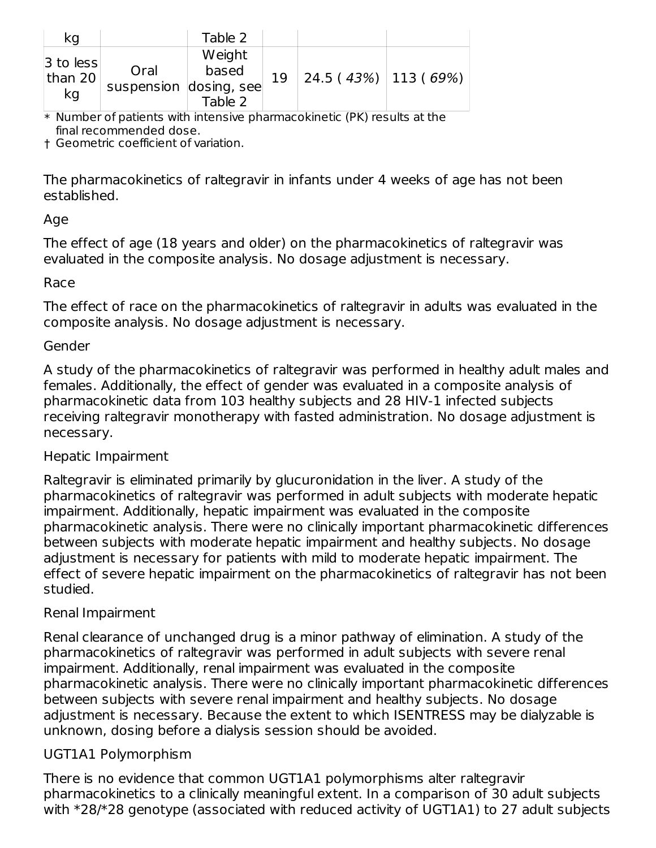| kg                           |                                | Table 2                    |    |                         |  |
|------------------------------|--------------------------------|----------------------------|----|-------------------------|--|
| $3$ to less<br>than 20<br>kg | Oral<br>suspension dosing, see | Weight<br>based<br>Table 2 | 19 | $24.5(43%)$   113 (69%) |  |

\* Number of patients with intensive pharmacokinetic (PK) results at the final recommended dose.

† Geometric coefficient of variation.

The pharmacokinetics of raltegravir in infants under 4 weeks of age has not been established.

#### Age

The effect of age (18 years and older) on the pharmacokinetics of raltegravir was evaluated in the composite analysis. No dosage adjustment is necessary.

#### Race

The effect of race on the pharmacokinetics of raltegravir in adults was evaluated in the composite analysis. No dosage adjustment is necessary.

#### Gender

A study of the pharmacokinetics of raltegravir was performed in healthy adult males and females. Additionally, the effect of gender was evaluated in a composite analysis of pharmacokinetic data from 103 healthy subjects and 28 HIV-1 infected subjects receiving raltegravir monotherapy with fasted administration. No dosage adjustment is necessary.

#### Hepatic Impairment

Raltegravir is eliminated primarily by glucuronidation in the liver. A study of the pharmacokinetics of raltegravir was performed in adult subjects with moderate hepatic impairment. Additionally, hepatic impairment was evaluated in the composite pharmacokinetic analysis. There were no clinically important pharmacokinetic differences between subjects with moderate hepatic impairment and healthy subjects. No dosage adjustment is necessary for patients with mild to moderate hepatic impairment. The effect of severe hepatic impairment on the pharmacokinetics of raltegravir has not been studied.

#### Renal Impairment

Renal clearance of unchanged drug is a minor pathway of elimination. A study of the pharmacokinetics of raltegravir was performed in adult subjects with severe renal impairment. Additionally, renal impairment was evaluated in the composite pharmacokinetic analysis. There were no clinically important pharmacokinetic differences between subjects with severe renal impairment and healthy subjects. No dosage adjustment is necessary. Because the extent to which ISENTRESS may be dialyzable is unknown, dosing before a dialysis session should be avoided.

#### UGT1A1 Polymorphism

There is no evidence that common UGT1A1 polymorphisms alter raltegravir pharmacokinetics to a clinically meaningful extent. In a comparison of 30 adult subjects with \*28/\*28 genotype (associated with reduced activity of UGT1A1) to 27 adult subjects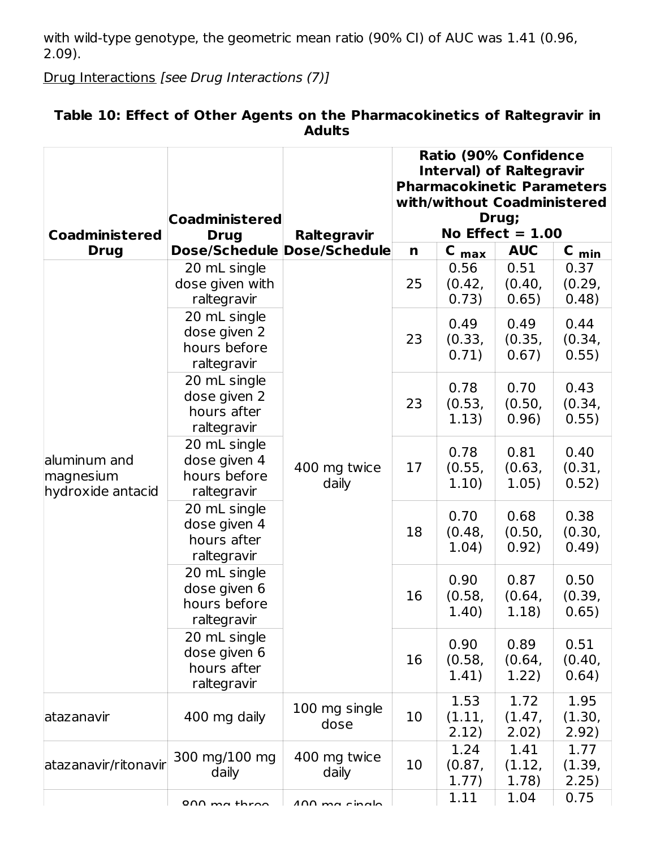with wild-type genotype, the geometric mean ratio (90% CI) of AUC was 1.41 (0.96, 2.09).

Drug Interactions [see Drug Interactions (7)]

|                                                |                                                             |                        |    | <b>Ratio (90% Confidence</b><br><b>Interval) of Raltegravir</b><br><b>Pharmacokinetic Parameters</b><br>with/without Coadministered |                             |                         |
|------------------------------------------------|-------------------------------------------------------------|------------------------|----|-------------------------------------------------------------------------------------------------------------------------------------|-----------------------------|-------------------------|
| <b>Coadministered</b>                          | <b>Coadministered</b><br><b>Drug</b>                        | Raltegravir            |    |                                                                                                                                     | Drug;<br>No Effect $= 1.00$ |                         |
| <b>Drug</b>                                    | Dose/Schedule Dose/Schedule                                 |                        | n  | $C_{max}$                                                                                                                           | <b>AUC</b>                  | $C_{min}$               |
|                                                | 20 mL single<br>dose given with<br>raltegravir              |                        | 25 | 0.56<br>(0.42,<br>0.73)                                                                                                             | 0.51<br>(0.40,<br>0.65)     | 0.37<br>(0.29,<br>0.48) |
|                                                | 20 mL single<br>dose given 2<br>hours before<br>raltegravir |                        | 23 | 0.49<br>(0.33,<br>0.71)                                                                                                             | 0.49<br>(0.35,<br>0.67)     | 0.44<br>(0.34,<br>0.55) |
| aluminum and<br>magnesium<br>hydroxide antacid | 20 mL single<br>dose given 2<br>hours after<br>raltegravir  | 400 mg twice<br>daily  | 23 | 0.78<br>(0.53,<br>1.13)                                                                                                             | 0.70<br>(0.50,<br>0.96)     | 0.43<br>(0.34,<br>0.55) |
|                                                | 20 mL single<br>dose given 4<br>hours before<br>raltegravir |                        | 17 | 0.78<br>(0.55,<br>1.10)                                                                                                             | 0.81<br>(0.63,<br>1.05)     | 0.40<br>(0.31,<br>0.52) |
|                                                | 20 mL single<br>dose given 4<br>hours after<br>raltegravir  |                        | 18 | 0.70<br>(0.48,<br>1.04)                                                                                                             | 0.68<br>(0.50,<br>0.92)     | 0.38<br>(0.30,<br>0.49) |
|                                                | 20 mL single<br>dose given 6<br>hours before<br>raltegravir |                        | 16 | 0.90<br>(0.58,<br>1.40)                                                                                                             | 0.87<br>(0.64,<br>1.18)     | 0.50<br>(0.39,<br>0.65) |
|                                                | 20 mL single<br>dose given 6<br>hours after<br>raltegravir  |                        | 16 | 0.90<br>(0.58,<br>1.41)                                                                                                             | 0.89<br>(0.64,<br>1.22)     | 0.51<br>(0.40,<br>0.64) |
| atazanavir                                     | 400 mg daily                                                | 100 mg single<br>dose  | 10 | 1.53<br>(1.11,<br>2.12)                                                                                                             | 1.72<br>(1.47,<br>2.02)     | 1.95<br>(1.30,<br>2.92) |
| atazanavir/ritonavir                           | 300 mg/100 mg<br>daily                                      | 400 mg twice<br>daily  | 10 | 1.24<br>(0.87,<br>1.77)                                                                                                             | 1.41<br>(1.12,<br>1.78)     | 1.77<br>(1.39,<br>2.25) |
|                                                | $0 \wedge \wedge m + h$ roo                                 | $100 \text{ ma chalo}$ |    | 1.11                                                                                                                                | 1.04                        | 0.75                    |

## **Table 10: Effect of Other Agents on the Pharmacokinetics of Raltegravir in Adults**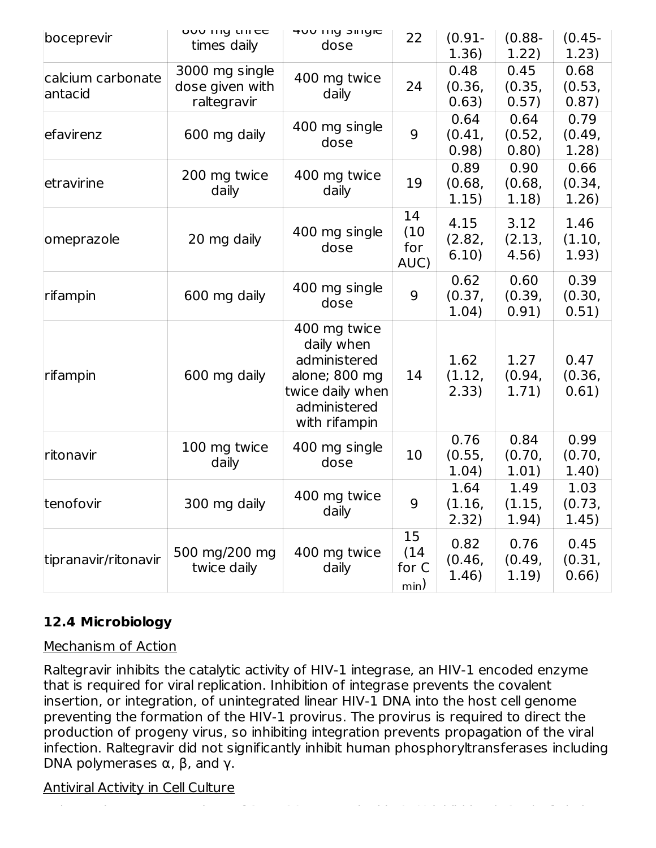| boceprevir                   | OUU IIIY UIICC<br>times daily                    | HUU IIIY SIIIYIC<br>dose                                                                                         | 22                          | $(0.91 -$<br>1.36)      | $(0.88 -$<br>1.22)      | $(0.45 -$<br>1.23)      |
|------------------------------|--------------------------------------------------|------------------------------------------------------------------------------------------------------------------|-----------------------------|-------------------------|-------------------------|-------------------------|
| calcium carbonate<br>antacid | 3000 mg single<br>dose given with<br>raltegravir | 400 mg twice<br>daily                                                                                            | 24                          | 0.48<br>(0.36,<br>0.63) | 0.45<br>(0.35,<br>0.57) | 0.68<br>(0.53,<br>0.87) |
| efavirenz                    | 600 mg daily                                     | 400 mg single<br>dose                                                                                            | 9                           | 0.64<br>(0.41,<br>0.98) | 0.64<br>(0.52,<br>0.80) | 0.79<br>(0.49,<br>1.28) |
| etravirine                   | 200 mg twice<br>daily                            | 400 mg twice<br>daily                                                                                            | 19                          | 0.89<br>(0.68,<br>1.15) | 0.90<br>(0.68,<br>1.18) | 0.66<br>(0.34,<br>1.26) |
| omeprazole                   | 20 mg daily                                      | 400 mg single<br>dose                                                                                            | 14<br>(10)<br>for<br>AUC)   | 4.15<br>(2.82,<br>6.10) | 3.12<br>(2.13,<br>4.56) | 1.46<br>(1.10,<br>1.93) |
| rifampin                     | 600 mg daily                                     | 400 mg single<br>dose                                                                                            | 9                           | 0.62<br>(0.37,<br>1.04) | 0.60<br>(0.39,<br>0.91) | 0.39<br>(0.30,<br>0.51) |
| rifampin                     | 600 mg daily                                     | 400 mg twice<br>daily when<br>administered<br>alone; 800 mg<br>twice daily when<br>administered<br>with rifampin | 14                          | 1.62<br>(1.12,<br>2.33) | 1.27<br>(0.94,<br>1.71) | 0.47<br>(0.36,<br>0.61) |
| ritonavir                    | 100 mg twice<br>daily                            | 400 mg single<br>dose                                                                                            | 10                          | 0.76<br>(0.55,<br>1.04) | 0.84<br>(0.70,<br>1.01) | 0.99<br>(0.70,<br>1.40) |
| tenofovir                    | 300 mg daily                                     | 400 mg twice<br>daily                                                                                            | 9                           | 1.64<br>(1.16,<br>2.32) | 1.49<br>(1.15,<br>1.94) | 1.03<br>(0.73,<br>1.45) |
| tipranavir/ritonavir         | 500 mg/200 mg<br>twice daily                     | 400 mg twice<br>daily                                                                                            | 15<br>(14)<br>for C<br>min) | 0.82<br>(0.46,<br>1.46) | 0.76<br>(0.49,<br>1.19) | 0.45<br>(0.31,<br>0.66) |

## **12.4 Microbiology**

#### Mechanism of Action

Raltegravir inhibits the catalytic activity of HIV-1 integrase, an HIV-1 encoded enzyme that is required for viral replication. Inhibition of integrase prevents the covalent insertion, or integration, of unintegrated linear HIV-1 DNA into the host cell genome preventing the formation of the HIV-1 provirus. The provirus is required to direct the production of progeny virus, so inhibiting integration prevents propagation of the viral infection. Raltegravir did not significantly inhibit human phosphoryltransferases including DNA polymerases  $\alpha$ ,  $\beta$ , and γ.

Raltegravir at concentrations of 31 ± 20 nM resulted in 95% inhibition (EC ) of viral

#### Antiviral Activity in Cell Culture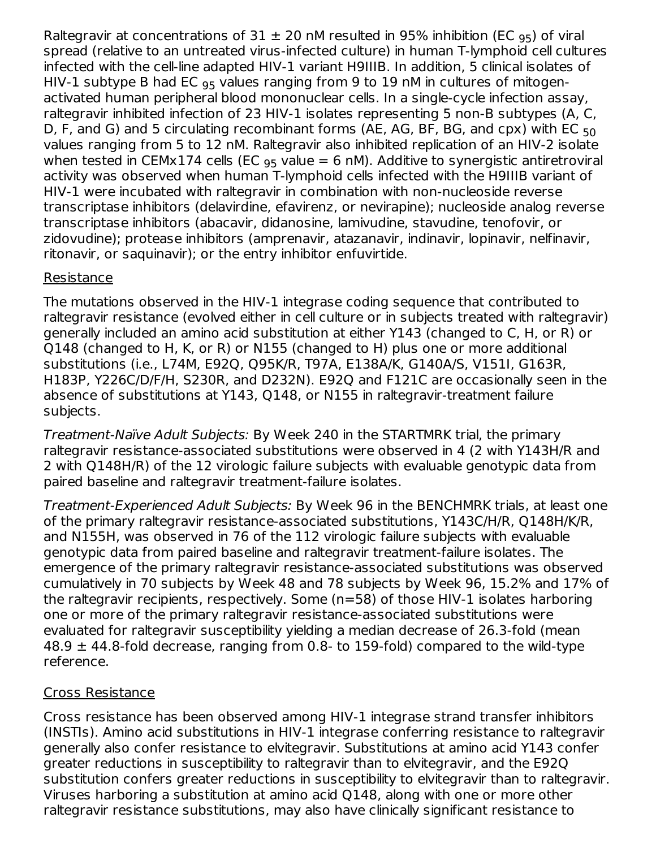Raltegravir at concentrations of 31  $\pm$  20 nM resulted in 95% inhibition (EC <sub>95</sub>) of viral spread (relative to an untreated virus-infected culture) in human T-lymphoid cell cultures infected with the cell-line adapted HIV-1 variant H9IIIB. In addition, 5 clinical isolates of HIV-1 subtype B had EC  $_{95}$  values ranging from 9 to 19 nM in cultures of mitogenactivated human peripheral blood mononuclear cells. In a single-cycle infection assay, raltegravir inhibited infection of 23 HIV-1 isolates representing 5 non-B subtypes (A, C, D, F, and G) and 5 circulating recombinant forms (AE, AG, BF, BG, and cpx) with EC <sub>50</sub> values ranging from 5 to 12 nM. Raltegravir also inhibited replication of an HIV-2 isolate when tested in CEMx174 cells (EC  $_{95}$  value = 6 nM). Additive to synergistic antiretroviral activity was observed when human T-lymphoid cells infected with the H9IIIB variant of HIV-1 were incubated with raltegravir in combination with non-nucleoside reverse transcriptase inhibitors (delavirdine, efavirenz, or nevirapine); nucleoside analog reverse transcriptase inhibitors (abacavir, didanosine, lamivudine, stavudine, tenofovir, or zidovudine); protease inhibitors (amprenavir, atazanavir, indinavir, lopinavir, nelfinavir, ritonavir, or saquinavir); or the entry inhibitor enfuvirtide.

## Resistance

The mutations observed in the HIV-1 integrase coding sequence that contributed to raltegravir resistance (evolved either in cell culture or in subjects treated with raltegravir) generally included an amino acid substitution at either Y143 (changed to C, H, or R) or Q148 (changed to H, K, or R) or N155 (changed to H) plus one or more additional substitutions (i.e., L74M, E92Q, Q95K/R, T97A, E138A/K, G140A/S, V151I, G163R, H183P, Y226C/D/F/H, S230R, and D232N). E92Q and F121C are occasionally seen in the absence of substitutions at Y143, Q148, or N155 in raltegravir-treatment failure subjects.

Treatment-Naïve Adult Subjects: By Week 240 in the STARTMRK trial, the primary raltegravir resistance-associated substitutions were observed in 4 (2 with Y143H/R and 2 with Q148H/R) of the 12 virologic failure subjects with evaluable genotypic data from paired baseline and raltegravir treatment-failure isolates.

Treatment-Experienced Adult Subjects: By Week 96 in the BENCHMRK trials, at least one of the primary raltegravir resistance-associated substitutions, Y143C/H/R, Q148H/K/R, and N155H, was observed in 76 of the 112 virologic failure subjects with evaluable genotypic data from paired baseline and raltegravir treatment-failure isolates. The emergence of the primary raltegravir resistance-associated substitutions was observed cumulatively in 70 subjects by Week 48 and 78 subjects by Week 96, 15.2% and 17% of the raltegravir recipients, respectively. Some (n=58) of those HIV-1 isolates harboring one or more of the primary raltegravir resistance-associated substitutions were evaluated for raltegravir susceptibility yielding a median decrease of 26.3-fold (mean  $48.9 \pm 44.8$ -fold decrease, ranging from 0.8- to 159-fold) compared to the wild-type reference.

#### Cross Resistance

Cross resistance has been observed among HIV-1 integrase strand transfer inhibitors (INSTIs). Amino acid substitutions in HIV-1 integrase conferring resistance to raltegravir generally also confer resistance to elvitegravir. Substitutions at amino acid Y143 confer greater reductions in susceptibility to raltegravir than to elvitegravir, and the E92Q substitution confers greater reductions in susceptibility to elvitegravir than to raltegravir. Viruses harboring a substitution at amino acid Q148, along with one or more other raltegravir resistance substitutions, may also have clinically significant resistance to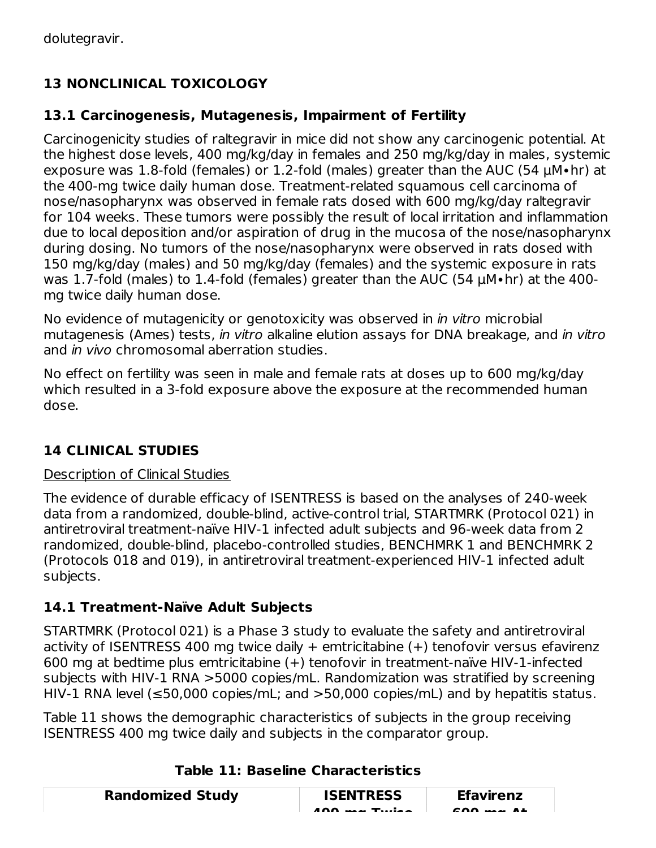# **13 NONCLINICAL TOXICOLOGY**

## **13.1 Carcinogenesis, Mutagenesis, Impairment of Fertility**

Carcinogenicity studies of raltegravir in mice did not show any carcinogenic potential. At the highest dose levels, 400 mg/kg/day in females and 250 mg/kg/day in males, systemic exposure was 1.8-fold (females) or 1.2-fold (males) greater than the AUC (54 µM∙hr) at the 400-mg twice daily human dose. Treatment-related squamous cell carcinoma of nose/nasopharynx was observed in female rats dosed with 600 mg/kg/day raltegravir for 104 weeks. These tumors were possibly the result of local irritation and inflammation due to local deposition and/or aspiration of drug in the mucosa of the nose/nasopharynx during dosing. No tumors of the nose/nasopharynx were observed in rats dosed with 150 mg/kg/day (males) and 50 mg/kg/day (females) and the systemic exposure in rats was 1.7-fold (males) to 1.4-fold (females) greater than the AUC (54 μM∙hr) at the 400 mg twice daily human dose.

No evidence of mutagenicity or genotoxicity was observed in in vitro microbial mutagenesis (Ames) tests, in vitro alkaline elution assays for DNA breakage, and in vitro and *in vivo* chromosomal aberration studies.

No effect on fertility was seen in male and female rats at doses up to 600 mg/kg/day which resulted in a 3-fold exposure above the exposure at the recommended human dose.

## **14 CLINICAL STUDIES**

#### Description of Clinical Studies

The evidence of durable efficacy of ISENTRESS is based on the analyses of 240-week data from a randomized, double-blind, active-control trial, STARTMRK (Protocol 021) in antiretroviral treatment-naïve HIV-1 infected adult subjects and 96-week data from 2 randomized, double-blind, placebo-controlled studies, BENCHMRK 1 and BENCHMRK 2 (Protocols 018 and 019), in antiretroviral treatment-experienced HIV-1 infected adult subjects.

## **14.1 Treatment-Naïve Adult Subjects**

STARTMRK (Protocol 021) is a Phase 3 study to evaluate the safety and antiretroviral activity of ISENTRESS 400 mg twice daily  $+$  emtricitabine  $(+)$  tenofovir versus efavirenz 600 mg at bedtime plus emtricitabine (+) tenofovir in treatment-naïve HIV-1-infected subjects with HIV-1 RNA >5000 copies/mL. Randomization was stratified by screening HIV-1 RNA level ( $\leq$ 50,000 copies/mL; and  $>$ 50,000 copies/mL) and by hepatitis status.

Table 11 shows the demographic characteristics of subjects in the group receiving ISENTRESS 400 mg twice daily and subjects in the comparator group.

| <b>Randomized Study</b> | <b>ISENTRESS</b>                | <b>Efavirenz</b>              |  |
|-------------------------|---------------------------------|-------------------------------|--|
|                         | $A \cap \Omega$ $A \cap \Omega$ | $F \cap \bigcap_{n \geq 0} F$ |  |

#### **Table 11: Baseline Characteristics**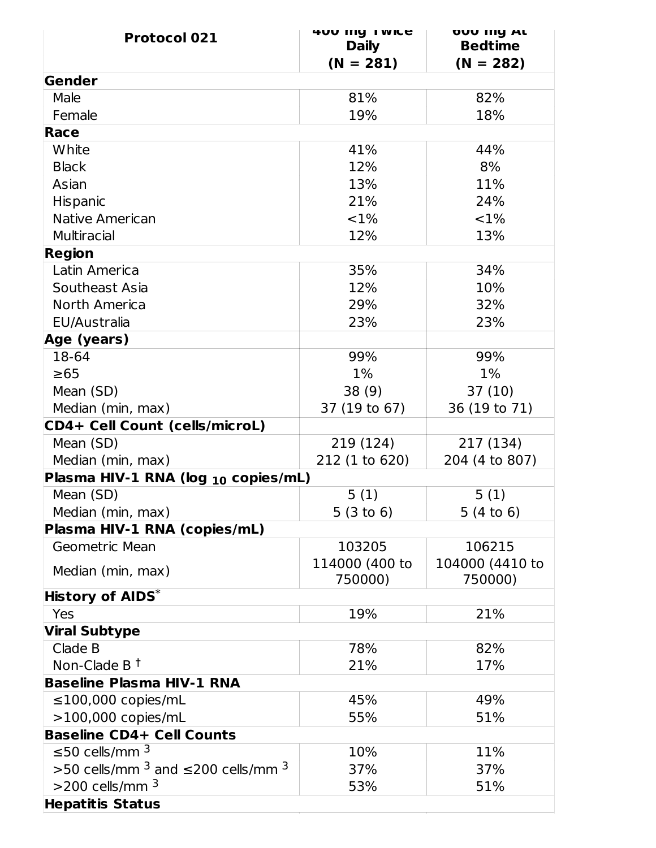| <b>Protocol 021</b>                            | <b>400 IIIY I WICE</b> | <b>OUU IIIY AL</b><br><b>Bedtime</b> |
|------------------------------------------------|------------------------|--------------------------------------|
|                                                | <b>Daily</b>           |                                      |
| Gender                                         | $(N = 281)$            | $(N = 282)$                          |
|                                                |                        |                                      |
| Male                                           | 81%                    | 82%                                  |
| Female<br>Race                                 | 19%                    | 18%                                  |
|                                                |                        |                                      |
| White                                          | 41%                    | 44%                                  |
| <b>Black</b>                                   | 12%                    | 8%                                   |
| Asian                                          | 13%                    | 11%                                  |
| <b>Hispanic</b>                                | 21%                    | 24%                                  |
| Native American                                | ${<}1\%$               | $<$ 1%                               |
| <b>Multiracial</b>                             | 12%                    | 13%                                  |
| <b>Region</b>                                  |                        |                                      |
| Latin America                                  | 35%                    | 34%                                  |
| Southeast Asia                                 | 12%                    | 10%                                  |
| North America                                  | 29%                    | 32%                                  |
| EU/Australia                                   | 23%                    | 23%                                  |
| Age (years)                                    |                        |                                      |
| 18-64                                          | 99%                    | 99%                                  |
| $\geq 65$                                      | $1\%$                  | $1\%$                                |
| Mean (SD)                                      | 38(9)                  | 37(10)                               |
| Median (min, max)                              | 37 (19 to 67)          | 36 (19 to 71)                        |
| CD4+ Cell Count (cells/microL)                 |                        |                                      |
| Mean (SD)                                      | 219 (124)              | 217 (134)                            |
| Median (min, max)                              | 212 (1 to 620)         | 204 (4 to 807)                       |
| Plasma HIV-1 RNA (log 10 copies/mL)            |                        |                                      |
| Mean (SD)                                      | 5(1)                   | 5(1)                                 |
| Median (min, max)                              | 5(3 to 6)              | 5(4 to 6)                            |
| Plasma HIV-1 RNA (copies/mL)                   |                        |                                      |
| Geometric Mean                                 | 103205                 | 106215                               |
| Median (min, max)                              | 114000 (400 to         | 104000 (4410 to                      |
|                                                | 750000)                | 750000)                              |
| <b>History of AIDS*</b>                        |                        |                                      |
| Yes                                            | 19%                    | 21%                                  |
| <b>Viral Subtype</b>                           |                        |                                      |
| Clade B                                        | 78%                    | 82%                                  |
| Non-Clade B $†$                                | 21%                    | 17%                                  |
| <b>Baseline Plasma HIV-1 RNA</b>               |                        |                                      |
| $\leq$ 100,000 copies/mL                       | 45%                    | 49%                                  |
| $>100,000$ copies/mL                           | 55%                    | 51%                                  |
| <b>Baseline CD4+ Cell Counts</b>               |                        |                                      |
| ≤50 cells/mm $^3$                              | 10%                    | 11%                                  |
| >50 cells/mm $^3$ and $\leq$ 200 cells/mm $^3$ | 37%                    | 37%                                  |
| $>$ 200 cells/mm $^3$                          | 53%                    | 51%                                  |
| <b>Hepatitis Status</b>                        |                        |                                      |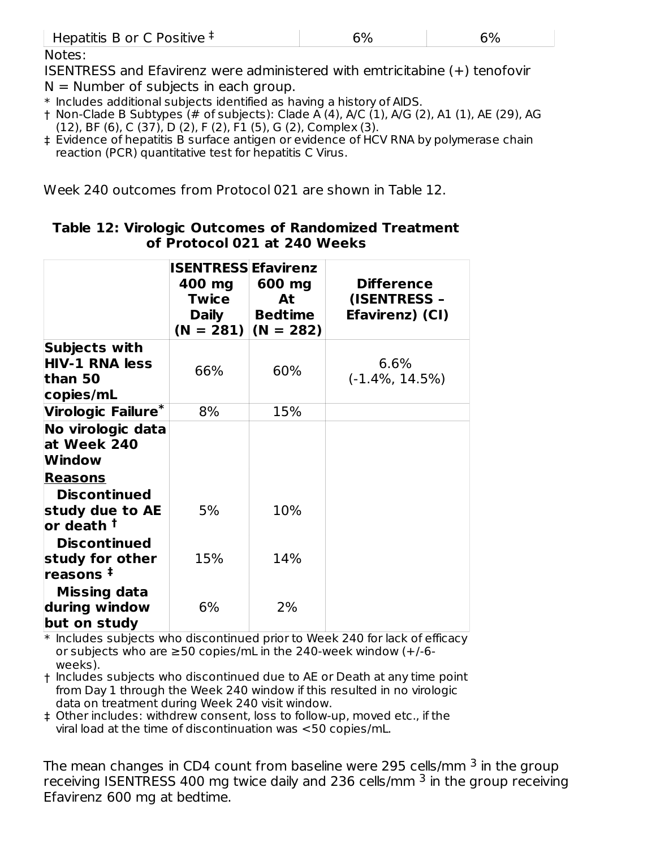| Hepatitis B or C Positive $\ddagger$ |  |
|--------------------------------------|--|
|                                      |  |

Notes:

ISENTRESS and Efavirenz were administered with emtricitabine (+) tenofovir  $N =$  Number of subjects in each group.

\* Includes additional subjects identified as having a history of AIDS.

† Non-Clade B Subtypes (# of subjects): Clade A (4), A/C (1), A/G (2), A1 (1), AE (29), AG (12), BF (6), C (37), D (2), F (2), F1 (5), G (2), Complex (3).

‡ Evidence of hepatitis B surface antigen or evidence of HCV RNA by polymerase chain reaction (PCR) quantitative test for hepatitis C Virus.

Week 240 outcomes from Protocol 021 are shown in Table 12.

|                                                                      | <b>ISENTRESS Efavirenz</b><br>400 mg<br><b>Twice</b><br><b>Daily</b> | 600 mg<br>At<br><b>Bedtime</b><br>$(N = 281)$ $(N = 282)$ | <b>Difference</b><br>(ISENTRESS -<br>Efavirenz) (CI) |
|----------------------------------------------------------------------|----------------------------------------------------------------------|-----------------------------------------------------------|------------------------------------------------------|
| Subjects with<br><b>HIV-1 RNA less</b><br>than 50<br>copies/mL       | 66%                                                                  | 60%                                                       | 6.6%<br>$(-1.4\%, 14.5\%)$                           |
| Virologic Failure*                                                   | 8%                                                                   | 15%                                                       |                                                      |
| No virologic data<br>at Week 240<br>Window<br><b>Reasons</b>         |                                                                      |                                                           |                                                      |
| <b>Discontinued</b><br>study due to AE<br>$\,$ lor death $^\dagger$  | 5%                                                                   | 10%                                                       |                                                      |
| <b>Discontinued</b><br>study for other<br>$\,$ reasons $^{\ddagger}$ | 15%                                                                  | 14%                                                       |                                                      |
| <b>Missing data</b><br>during window<br>but on study                 | 6%                                                                   | 2%                                                        |                                                      |

#### **Table 12: Virologic Outcomes of Randomized Treatment of Protocol 021 at 240 Weeks**

\* Includes subjects who discontinued prior to Week 240 for lack of efficacy or subjects who are  $\geq$ 50 copies/mL in the 240-week window  $(+/-6$ weeks).

† Includes subjects who discontinued due to AE or Death at any time point from Day 1 through the Week 240 window if this resulted in no virologic data on treatment during Week 240 visit window.

‡ Other includes: withdrew consent, loss to follow-up, moved etc., if the viral load at the time of discontinuation was <50 copies/mL.

The mean changes in CD4 count from baseline were 295 cells/mm  $^3$  in the group receiving ISENTRESS 400 mg twice daily and 236 cells/mm  $^3$  in the group receiving Efavirenz 600 mg at bedtime.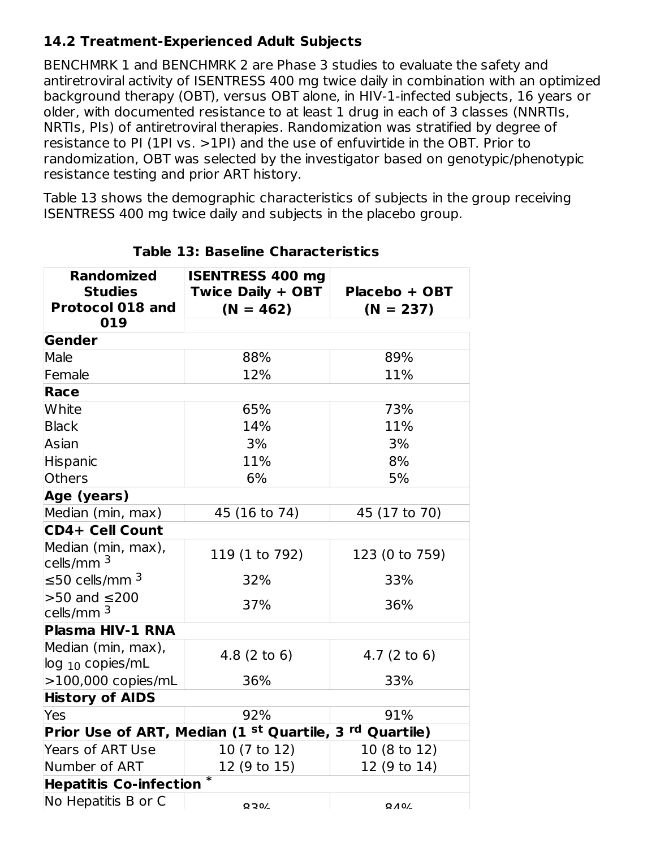## **14.2 Treatment-Experienced Adult Subjects**

BENCHMRK 1 and BENCHMRK 2 are Phase 3 studies to evaluate the safety and antiretroviral activity of ISENTRESS 400 mg twice daily in combination with an optimized background therapy (OBT), versus OBT alone, in HIV-1-infected subjects, 16 years or older, with documented resistance to at least 1 drug in each of 3 classes (NNRTIs, NRTIs, PIs) of antiretroviral therapies. Randomization was stratified by degree of resistance to PI (1PI vs. >1PI) and the use of enfuvirtide in the OBT. Prior to randomization, OBT was selected by the investigator based on genotypic/phenotypic resistance testing and prior ART history.

Table 13 shows the demographic characteristics of subjects in the group receiving ISENTRESS 400 mg twice daily and subjects in the placebo group.

| <b>Randomized</b><br><b>Studies</b><br><b>Protocol 018 and</b><br>019 | <b>ISENTRESS 400 mg</b><br><b>Twice Daily + OBT</b><br>$(N = 462)$            | Placebo + OBT<br>$(N = 237)$ |
|-----------------------------------------------------------------------|-------------------------------------------------------------------------------|------------------------------|
| Gender                                                                |                                                                               |                              |
| Male                                                                  | 88%                                                                           | 89%                          |
| Female                                                                | 12%                                                                           | 11%                          |
| Race                                                                  |                                                                               |                              |
| White                                                                 | 65%                                                                           | 73%                          |
| <b>Black</b>                                                          | 14%                                                                           | 11%                          |
| Asian                                                                 | 3%                                                                            | 3%                           |
| Hispanic                                                              | 11%                                                                           | 8%                           |
| <b>Others</b>                                                         | 6%                                                                            | 5%                           |
| Age (years)                                                           |                                                                               |                              |
| Median (min, max)                                                     | 45 (16 to 74)                                                                 | 45 (17 to 70)                |
| <b>CD4+ Cell Count</b>                                                |                                                                               |                              |
| Median (min, max),<br>cells/mm <sup>3</sup>                           | 119 (1 to 792)                                                                | 123 (0 to 759)               |
| ≤50 cells/mm $^3$                                                     | 32%                                                                           | 33%                          |
| $>50$ and $\leq$ 200<br>cells/ $mm3$                                  | 37%                                                                           | 36%                          |
| Plasma HIV-1 RNA                                                      |                                                                               |                              |
| Median (min, max),<br>$log_{10}$ copies/mL                            | $4.8(2 \text{ to } 6)$                                                        | $4.7(2 \text{ to } 6)$       |
| $>100,000$ copies/mL                                                  | 36%                                                                           | 33%                          |
| <b>History of AIDS</b>                                                |                                                                               |                              |
| Yes                                                                   | 92%                                                                           | 91%                          |
|                                                                       | Prior Use of ART, Median (1 <sup>st</sup> Quartile, 3 <sup>rd</sup> Quartile) |                              |
| <b>Years of ART Use</b>                                               | 10 (7 to 12)                                                                  | 10 (8 to 12)                 |
| Number of ART                                                         | 12 (9 to 15)                                                                  | 12 (9 to 14)                 |
| <b>Hepatitis Co-infection</b>                                         |                                                                               |                              |
| No Hepatitis B or C                                                   | $O$ $O$ $O$                                                                   | $O$ $A$ $O$ /                |

**Table 13: Baseline Characteristics**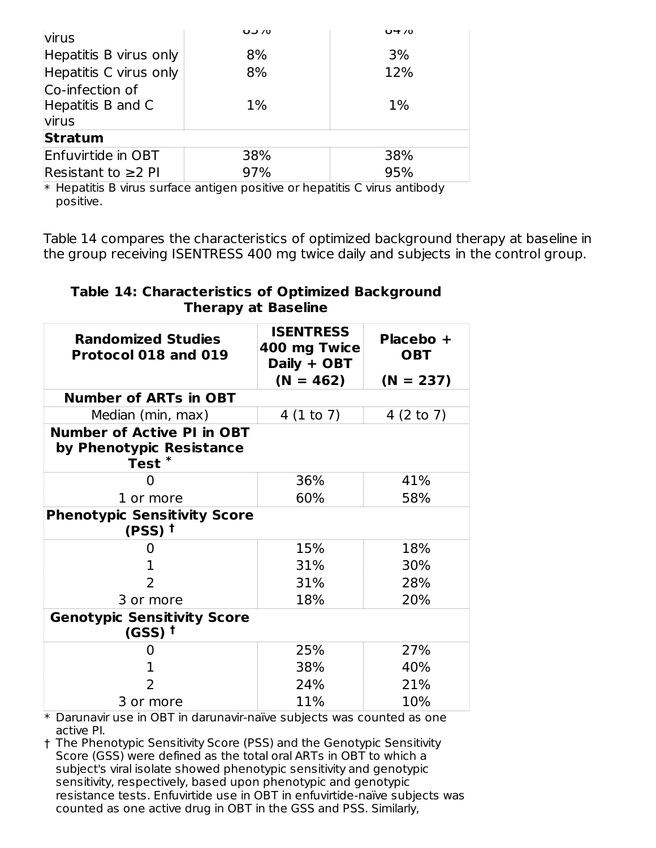| virus                    | 0/0   | $U + 70$ |
|--------------------------|-------|----------|
| Hepatitis B virus only   | 8%    | 3%       |
| Hepatitis C virus only   | 8%    | 12%      |
| Co-infection of          |       |          |
| Hepatitis B and C        | $1\%$ | $1\%$    |
| virus                    |       |          |
| <b>Stratum</b>           |       |          |
| Enfuvirtide in OBT       | 38%   | 38%      |
| Resistant to $\geq$ 2 PI | 97%   | 95%      |

\* Hepatitis B virus surface antigen positive or hepatitis C virus antibody positive.

Table 14 compares the characteristics of optimized background therapy at baseline in the group receiving ISENTRESS 400 mg twice daily and subjects in the control group.

## **Table 14: Characteristics of Optimized Background Therapy at Baseline**

| <b>Randomized Studies</b><br>Protocol 018 and 019                            | <b>ISENTRESS</b><br>400 mg Twice<br>Daily + OBT | Placebo +<br><b>OBT</b> |  |  |  |  |
|------------------------------------------------------------------------------|-------------------------------------------------|-------------------------|--|--|--|--|
|                                                                              | $(N = 462)$                                     | $(N = 237)$             |  |  |  |  |
| <b>Number of ARTs in OBT</b>                                                 |                                                 |                         |  |  |  |  |
| Median (min, max)                                                            | 4(1 to 7)                                       | 4 $(2 to 7)$            |  |  |  |  |
| <b>Number of Active PI in OBT</b><br>by Phenotypic Resistance<br><b>Test</b> |                                                 |                         |  |  |  |  |
| 0                                                                            | 36%                                             | 41%                     |  |  |  |  |
| 1 or more                                                                    | 60%                                             | 58%                     |  |  |  |  |
| <b>Phenotypic Sensitivity Score</b><br>(PSS) †                               |                                                 |                         |  |  |  |  |
| $\mathbf{0}$                                                                 | 15%                                             | 18%                     |  |  |  |  |
| ı.                                                                           | 31%                                             | 30%                     |  |  |  |  |
| $\overline{2}$                                                               | 31%                                             | 28%                     |  |  |  |  |
| 3 or more                                                                    | 18%                                             | 20%                     |  |  |  |  |
| <b>Genotypic Sensitivity Score</b><br>$(GSS)$ <sup>t</sup>                   |                                                 |                         |  |  |  |  |
| $\mathbf{\Omega}$                                                            | 25%                                             | 27%                     |  |  |  |  |
| 1                                                                            | 38%                                             | 40%                     |  |  |  |  |
| 2                                                                            | 24%                                             | 21%                     |  |  |  |  |
| 3 or more                                                                    | 11%                                             | 10%                     |  |  |  |  |

\* Darunavir use in OBT in darunavir-naïve subjects was counted as one active PI.

† The Phenotypic Sensitivity Score (PSS) and the Genotypic Sensitivity Score (GSS) were defined as the total oral ARTs in OBT to which a subject's viral isolate showed phenotypic sensitivity and genotypic sensitivity, respectively, based upon phenotypic and genotypic resistance tests. Enfuvirtide use in OBT in enfuvirtide-naïve subjects was counted as one active drug in OBT in the GSS and PSS. Similarly,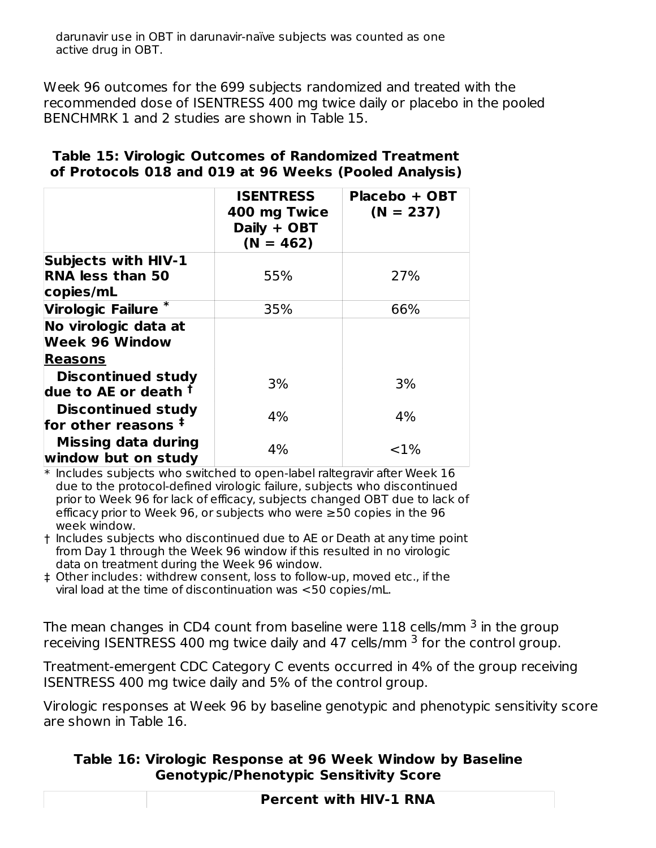Week 96 outcomes for the 699 subjects randomized and treated with the recommended dose of ISENTRESS 400 mg twice daily or placebo in the pooled BENCHMRK 1 and 2 studies are shown in Table 15.

|                                                            | <b>ISENTRESS</b><br>400 mg Twice<br>Daily + OBT<br>$(N = 462)$ | Placebo + OBT<br>$(N = 237)$ |
|------------------------------------------------------------|----------------------------------------------------------------|------------------------------|
| <b>Subjects with HIV-1</b>                                 |                                                                |                              |
| <b>RNA less than 50</b><br>copies/mL                       | 55%                                                            | 27%                          |
| Virologic Failure <sup>*</sup>                             | 35%                                                            | 66%                          |
| No virologic data at<br><b>Week 96 Window</b>              |                                                                |                              |
| <b>Reasons</b>                                             |                                                                |                              |
| <b>Discontinued study</b><br>due to AE or death $^\dagger$ | 3%                                                             | 3%                           |
| <b>Discontinued study</b><br>for other reasons $\ddagger$  | 4%                                                             | 4%                           |
| <b>Missing data during</b><br>window but on study          | 4%                                                             | ${<}1\%$                     |

#### **Table 15: Virologic Outcomes of Randomized Treatment of Protocols 018 and 019 at 96 Weeks (Pooled Analysis)**

 $\ast$  Includes subjects who switched to open-label raltegravir after Week  $16$ due to the protocol-defined virologic failure, subjects who discontinued prior to Week 96 for lack of efficacy, subjects changed OBT due to lack of efficacy prior to Week 96, or subjects who were ≥50 copies in the 96 week window.

- † Includes subjects who discontinued due to AE or Death at any time point from Day 1 through the Week 96 window if this resulted in no virologic data on treatment during the Week 96 window.
- ‡ Other includes: withdrew consent, loss to follow-up, moved etc., if the viral load at the time of discontinuation was <50 copies/mL.

The mean changes in CD4 count from baseline were  $118$  cells/mm  $^3$  in the group receiving ISENTRESS 400 mg twice daily and 47 cells/mm  $^3$  for the control group.

Treatment-emergent CDC Category C events occurred in 4% of the group receiving ISENTRESS 400 mg twice daily and 5% of the control group.

Virologic responses at Week 96 by baseline genotypic and phenotypic sensitivity score are shown in Table 16.

#### **Table 16: Virologic Response at 96 Week Window by Baseline Genotypic/Phenotypic Sensitivity Score**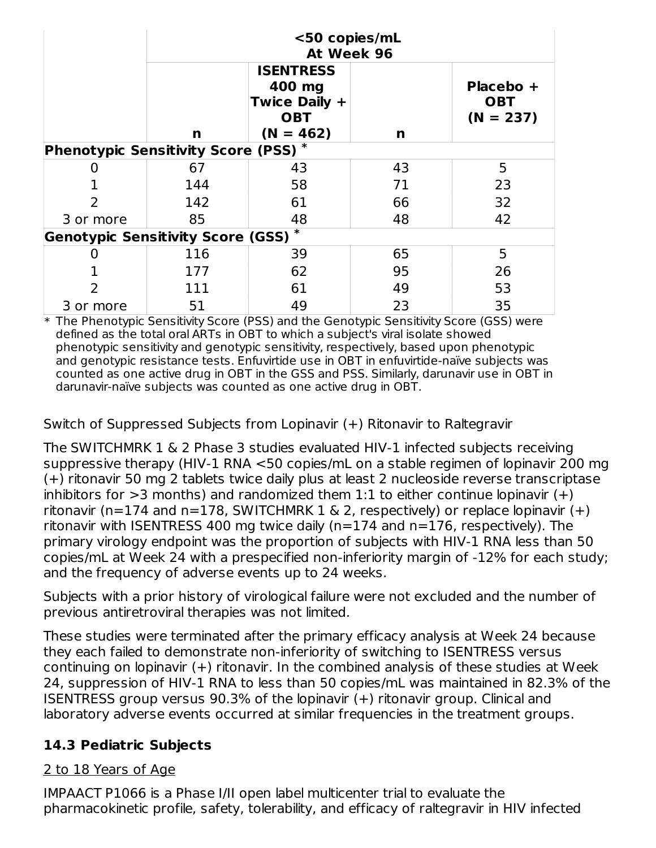|                                                    | <50 copies/mL<br>At Week 96 |                                                                               |    |                                        |  |  |  |  |
|----------------------------------------------------|-----------------------------|-------------------------------------------------------------------------------|----|----------------------------------------|--|--|--|--|
|                                                    | n                           | <b>ISENTRESS</b><br>400 mg<br>Twice Daily +<br><b>OBT</b><br>$(N = 462)$<br>n |    | Placebo +<br><b>OBT</b><br>$(N = 237)$ |  |  |  |  |
| <b>Phenotypic Sensitivity Score (PSS)*</b>         |                             |                                                                               |    |                                        |  |  |  |  |
|                                                    | 67                          | 43                                                                            | 43 | 5                                      |  |  |  |  |
|                                                    | 144                         | 58                                                                            | 71 | 23                                     |  |  |  |  |
| 2                                                  | 142                         | 61                                                                            | 66 | 32                                     |  |  |  |  |
| 3 or more                                          | 85<br>48                    |                                                                               | 48 | 42                                     |  |  |  |  |
| $\ast$<br><b>Genotypic Sensitivity Score (GSS)</b> |                             |                                                                               |    |                                        |  |  |  |  |
| 0                                                  | 116                         | 39                                                                            | 65 | 5                                      |  |  |  |  |
|                                                    | 177                         | 62                                                                            | 95 | 26                                     |  |  |  |  |
| 2                                                  | 111                         | 61                                                                            | 49 | 53                                     |  |  |  |  |
| 3 or more                                          | 51                          | 49                                                                            | 23 | 35                                     |  |  |  |  |

\* The Phenotypic Sensitivity Score (PSS) and the Genotypic Sensitivity Score (GSS) were defined as the total oral ARTs in OBT to which a subject's viral isolate showed phenotypic sensitivity and genotypic sensitivity, respectively, based upon phenotypic and genotypic resistance tests. Enfuvirtide use in OBT in enfuvirtide-naïve subjects was counted as one active drug in OBT in the GSS and PSS. Similarly, darunavir use in OBT in darunavir-naïve subjects was counted as one active drug in OBT.

Switch of Suppressed Subjects from Lopinavir (+) Ritonavir to Raltegravir

The SWITCHMRK 1 & 2 Phase 3 studies evaluated HIV-1 infected subjects receiving suppressive therapy (HIV-1 RNA <50 copies/mL on a stable regimen of lopinavir 200 mg (+) ritonavir 50 mg 2 tablets twice daily plus at least 2 nucleoside reverse transcriptase inhibitors for  $>3$  months) and randomized them 1:1 to either continue lopinavir  $(+)$ ritonavir (n=174 and n=178, SWITCHMRK 1  $\&$  2, respectively) or replace lopinavir (+) ritonavir with ISENTRESS 400 mg twice daily (n=174 and n=176, respectively). The primary virology endpoint was the proportion of subjects with HIV-1 RNA less than 50 copies/mL at Week 24 with a prespecified non-inferiority margin of -12% for each study; and the frequency of adverse events up to 24 weeks.

Subjects with a prior history of virological failure were not excluded and the number of previous antiretroviral therapies was not limited.

These studies were terminated after the primary efficacy analysis at Week 24 because they each failed to demonstrate non-inferiority of switching to ISENTRESS versus continuing on lopinavir (+) ritonavir. In the combined analysis of these studies at Week 24, suppression of HIV-1 RNA to less than 50 copies/mL was maintained in 82.3% of the ISENTRESS group versus 90.3% of the lopinavir (+) ritonavir group. Clinical and laboratory adverse events occurred at similar frequencies in the treatment groups.

## **14.3 Pediatric Subjects**

#### 2 to 18 Years of Age

IMPAACT P1066 is a Phase I/II open label multicenter trial to evaluate the pharmacokinetic profile, safety, tolerability, and efficacy of raltegravir in HIV infected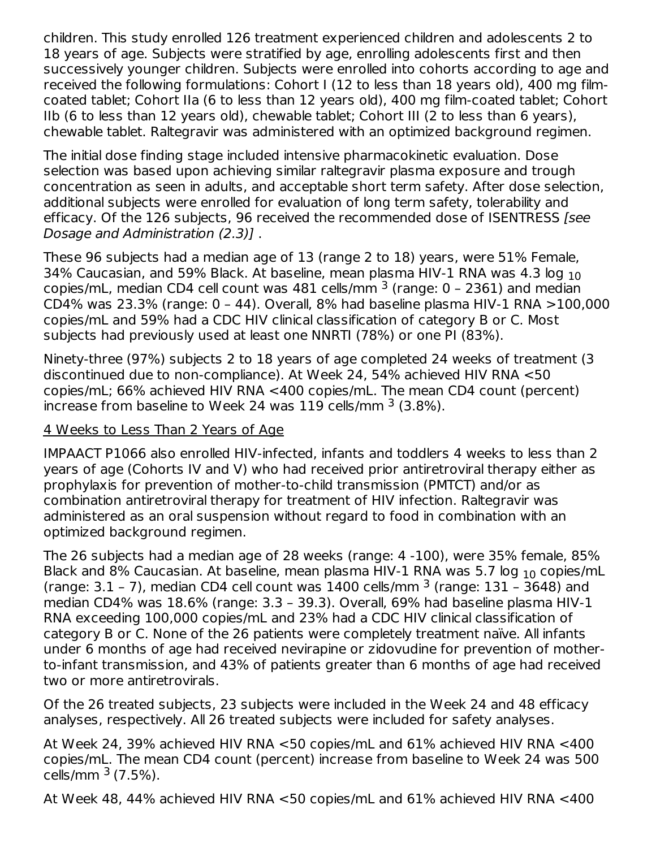children. This study enrolled 126 treatment experienced children and adolescents 2 to 18 years of age. Subjects were stratified by age, enrolling adolescents first and then successively younger children. Subjects were enrolled into cohorts according to age and received the following formulations: Cohort I (12 to less than 18 years old), 400 mg filmcoated tablet; Cohort IIa (6 to less than 12 years old), 400 mg film-coated tablet; Cohort IIb (6 to less than 12 years old), chewable tablet; Cohort III (2 to less than 6 years), chewable tablet. Raltegravir was administered with an optimized background regimen.

The initial dose finding stage included intensive pharmacokinetic evaluation. Dose selection was based upon achieving similar raltegravir plasma exposure and trough concentration as seen in adults, and acceptable short term safety. After dose selection, additional subjects were enrolled for evaluation of long term safety, tolerability and efficacy. Of the 126 subjects, 96 received the recommended dose of ISENTRESS [see Dosage and Administration (2.3)] .

These 96 subjects had a median age of 13 (range 2 to 18) years, were 51% Female, 34% Caucasian, and 59% Black. At baseline, mean plasma HIV-1 RNA was 4.3 log  $_{\rm 10}$ copies/mL, median CD4 cell count was 481 cells/mm  $^3$  (range: 0 - 2361) and median CD4% was 23.3% (range: 0 – 44). Overall, 8% had baseline plasma HIV-1 RNA >100,000 copies/mL and 59% had a CDC HIV clinical classification of category B or C. Most subjects had previously used at least one NNRTI (78%) or one PI (83%).

Ninety-three (97%) subjects 2 to 18 years of age completed 24 weeks of treatment (3 discontinued due to non-compliance). At Week 24, 54% achieved HIV RNA <50 copies/mL; 66% achieved HIV RNA <400 copies/mL. The mean CD4 count (percent) increase from baseline to Week 24 was  $119$  cells/mm  $^3$  (3.8%).

#### 4 Weeks to Less Than 2 Years of Age

IMPAACT P1066 also enrolled HIV-infected, infants and toddlers 4 weeks to less than 2 years of age (Cohorts IV and V) who had received prior antiretroviral therapy either as prophylaxis for prevention of mother-to-child transmission (PMTCT) and/or as combination antiretroviral therapy for treatment of HIV infection. Raltegravir was administered as an oral suspension without regard to food in combination with an optimized background regimen.

The 26 subjects had a median age of 28 weeks (range: 4 -100), were 35% female, 85% Black and 8% Caucasian. At baseline, mean plasma HIV-1 RNA was 5.7 log  $_{10}$  copies/mL (range:  $3.1$  – 7), median CD4 cell count was  $1400$  cells/mm  $3$  (range:  $131$  –  $3648$ ) and median CD4% was 18.6% (range: 3.3 – 39.3). Overall, 69% had baseline plasma HIV-1 RNA exceeding 100,000 copies/mL and 23% had a CDC HIV clinical classification of category B or C. None of the 26 patients were completely treatment naïve. All infants under 6 months of age had received nevirapine or zidovudine for prevention of motherto-infant transmission, and 43% of patients greater than 6 months of age had received two or more antiretrovirals.

Of the 26 treated subjects, 23 subjects were included in the Week 24 and 48 efficacy analyses, respectively. All 26 treated subjects were included for safety analyses.

At Week 24, 39% achieved HIV RNA <50 copies/mL and 61% achieved HIV RNA <400 copies/mL. The mean CD4 count (percent) increase from baseline to Week 24 was 500 cells/mm <sup>3</sup> (7.5%).

At Week 48, 44% achieved HIV RNA <50 copies/mL and 61% achieved HIV RNA <400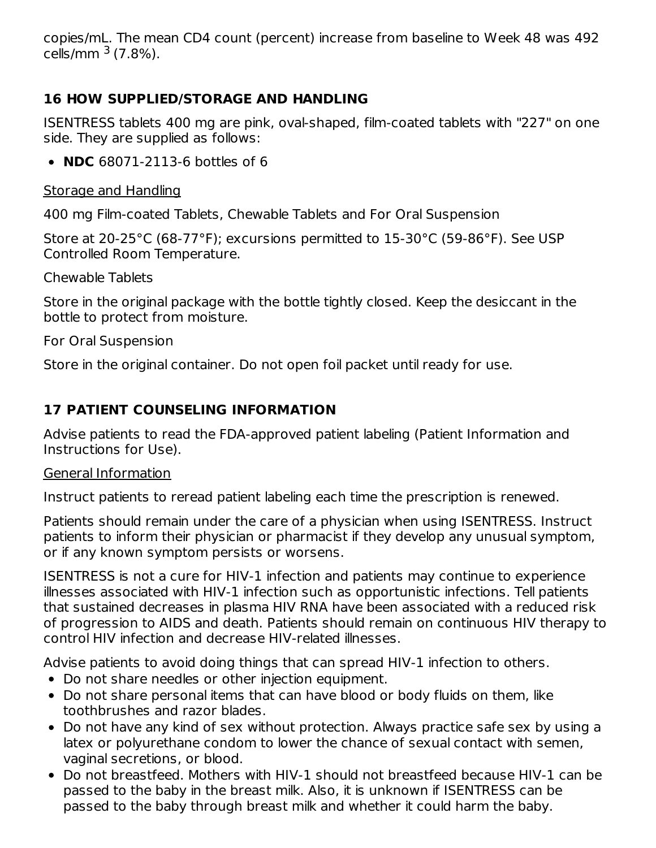copies/mL. The mean CD4 count (percent) increase from baseline to Week 48 was 492 cells/mm <sup>3</sup> (7.8%).

## **16 HOW SUPPLIED/STORAGE AND HANDLING**

ISENTRESS tablets 400 mg are pink, oval-shaped, film-coated tablets with "227" on one side. They are supplied as follows:

**NDC** 68071-2113-6 bottles of 6

Storage and Handling

400 mg Film-coated Tablets, Chewable Tablets and For Oral Suspension

Store at 20-25°C (68-77°F); excursions permitted to 15-30°C (59-86°F). See USP Controlled Room Temperature.

Chewable Tablets

Store in the original package with the bottle tightly closed. Keep the desiccant in the bottle to protect from moisture.

For Oral Suspension

Store in the original container. Do not open foil packet until ready for use.

## **17 PATIENT COUNSELING INFORMATION**

Advise patients to read the FDA-approved patient labeling (Patient Information and Instructions for Use).

#### General Information

Instruct patients to reread patient labeling each time the prescription is renewed.

Patients should remain under the care of a physician when using ISENTRESS. Instruct patients to inform their physician or pharmacist if they develop any unusual symptom, or if any known symptom persists or worsens.

ISENTRESS is not a cure for HIV-1 infection and patients may continue to experience illnesses associated with HIV-1 infection such as opportunistic infections. Tell patients that sustained decreases in plasma HIV RNA have been associated with a reduced risk of progression to AIDS and death. Patients should remain on continuous HIV therapy to control HIV infection and decrease HIV-related illnesses.

Advise patients to avoid doing things that can spread HIV-1 infection to others.

- Do not share needles or other injection equipment.
- Do not share personal items that can have blood or body fluids on them, like toothbrushes and razor blades.
- Do not have any kind of sex without protection. Always practice safe sex by using a latex or polyurethane condom to lower the chance of sexual contact with semen, vaginal secretions, or blood.
- Do not breastfeed. Mothers with HIV-1 should not breastfeed because HIV-1 can be passed to the baby in the breast milk. Also, it is unknown if ISENTRESS can be passed to the baby through breast milk and whether it could harm the baby.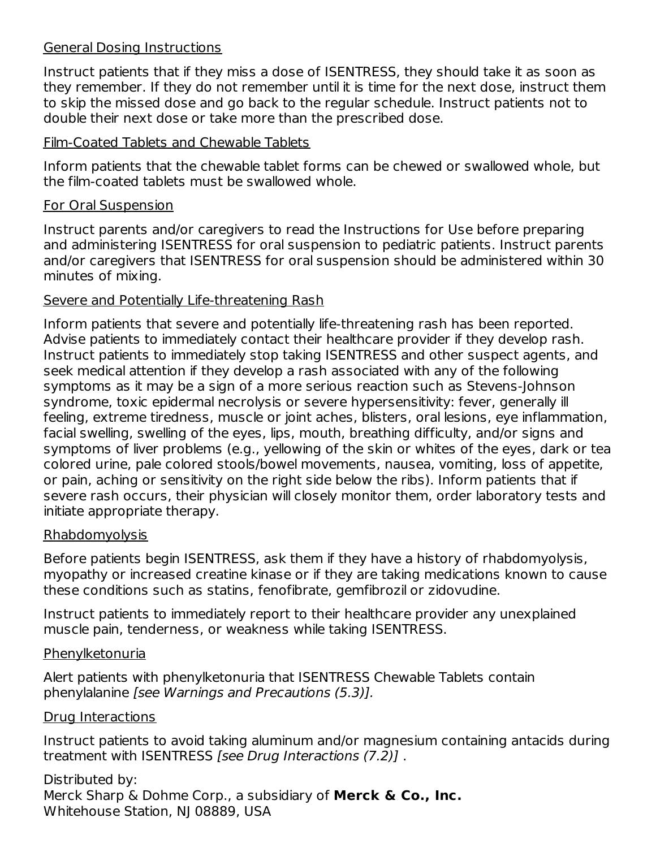#### General Dosing Instructions

Instruct patients that if they miss a dose of ISENTRESS, they should take it as soon as they remember. If they do not remember until it is time for the next dose, instruct them to skip the missed dose and go back to the regular schedule. Instruct patients not to double their next dose or take more than the prescribed dose.

#### Film-Coated Tablets and Chewable Tablets

Inform patients that the chewable tablet forms can be chewed or swallowed whole, but the film-coated tablets must be swallowed whole.

## For Oral Suspension

Instruct parents and/or caregivers to read the Instructions for Use before preparing and administering ISENTRESS for oral suspension to pediatric patients. Instruct parents and/or caregivers that ISENTRESS for oral suspension should be administered within 30 minutes of mixing.

## Severe and Potentially Life-threatening Rash

Inform patients that severe and potentially life-threatening rash has been reported. Advise patients to immediately contact their healthcare provider if they develop rash. Instruct patients to immediately stop taking ISENTRESS and other suspect agents, and seek medical attention if they develop a rash associated with any of the following symptoms as it may be a sign of a more serious reaction such as Stevens-Johnson syndrome, toxic epidermal necrolysis or severe hypersensitivity: fever, generally ill feeling, extreme tiredness, muscle or joint aches, blisters, oral lesions, eye inflammation, facial swelling, swelling of the eyes, lips, mouth, breathing difficulty, and/or signs and symptoms of liver problems (e.g., yellowing of the skin or whites of the eyes, dark or tea colored urine, pale colored stools/bowel movements, nausea, vomiting, loss of appetite, or pain, aching or sensitivity on the right side below the ribs). Inform patients that if severe rash occurs, their physician will closely monitor them, order laboratory tests and initiate appropriate therapy.

## Rhabdomyolysis

Before patients begin ISENTRESS, ask them if they have a history of rhabdomyolysis, myopathy or increased creatine kinase or if they are taking medications known to cause these conditions such as statins, fenofibrate, gemfibrozil or zidovudine.

Instruct patients to immediately report to their healthcare provider any unexplained muscle pain, tenderness, or weakness while taking ISENTRESS.

#### **Phenylketonuria**

Alert patients with phenylketonuria that ISENTRESS Chewable Tablets contain phenylalanine [see Warnings and Precautions (5.3)].

## Drug Interactions

Instruct patients to avoid taking aluminum and/or magnesium containing antacids during treatment with ISENTRESS [see Drug Interactions (7.2)] .

Distributed by: Merck Sharp & Dohme Corp., a subsidiary of **Merck & Co., Inc.** Whitehouse Station, NJ 08889, USA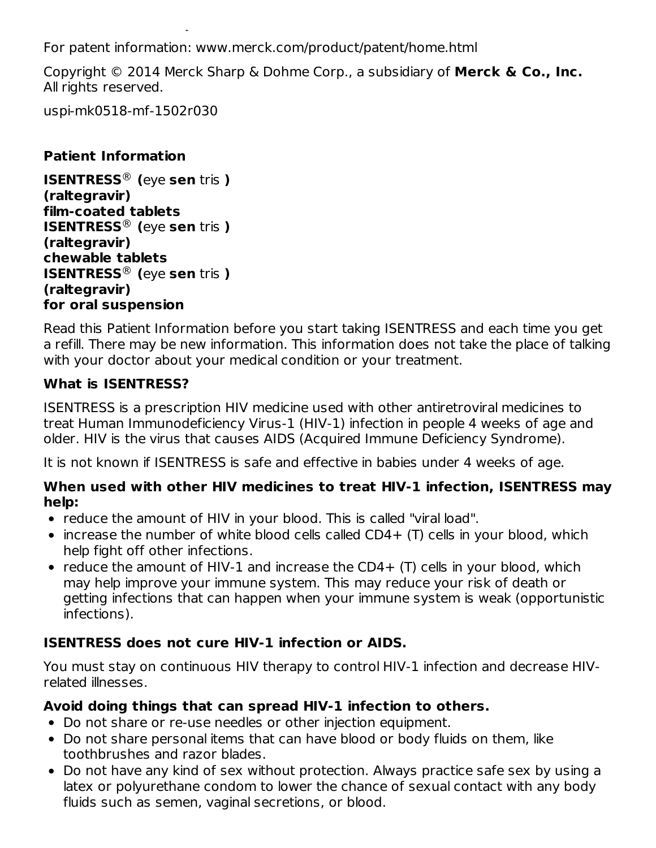For patent information: www.merck.com/product/patent/home.html

Copyright © 2014 Merck Sharp & Dohme Corp., a subsidiary of **Merck & Co., Inc.** All rights reserved.

uspi-mk0518-mf-1502r030

Whitehouse Station, NJ 08889, USA

#### **Patient Information**

**ISENTRESS (**eye **sen** tris **)** ® **(raltegravir) film-coated tablets ISENTRESS (**eye **sen** tris **)** ® **(raltegravir) chewable tablets ISENTRESS (**eye **sen** tris **)** ®**(raltegravir) for oral suspension**

Read this Patient Information before you start taking ISENTRESS and each time you get a refill. There may be new information. This information does not take the place of talking with your doctor about your medical condition or your treatment.

## **What is ISENTRESS?**

ISENTRESS is a prescription HIV medicine used with other antiretroviral medicines to treat Human Immunodeficiency Virus-1 (HIV-1) infection in people 4 weeks of age and older. HIV is the virus that causes AIDS (Acquired Immune Deficiency Syndrome).

It is not known if ISENTRESS is safe and effective in babies under 4 weeks of age.

#### **When used with other HIV medicines to treat HIV-1 infection, ISENTRESS may help:**

- reduce the amount of HIV in your blood. This is called "viral load".
- increase the number of white blood cells called CD4+ (T) cells in your blood, which help fight off other infections.
- reduce the amount of HIV-1 and increase the CD4  $+$  (T) cells in your blood, which may help improve your immune system. This may reduce your risk of death or getting infections that can happen when your immune system is weak (opportunistic infections).

## **ISENTRESS does not cure HIV-1 infection or AIDS.**

You must stay on continuous HIV therapy to control HIV-1 infection and decrease HIVrelated illnesses.

## **Avoid doing things that can spread HIV-1 infection to others.**

- Do not share or re-use needles or other injection equipment.
- Do not share personal items that can have blood or body fluids on them, like toothbrushes and razor blades.
- Do not have any kind of sex without protection. Always practice safe sex by using a latex or polyurethane condom to lower the chance of sexual contact with any body fluids such as semen, vaginal secretions, or blood.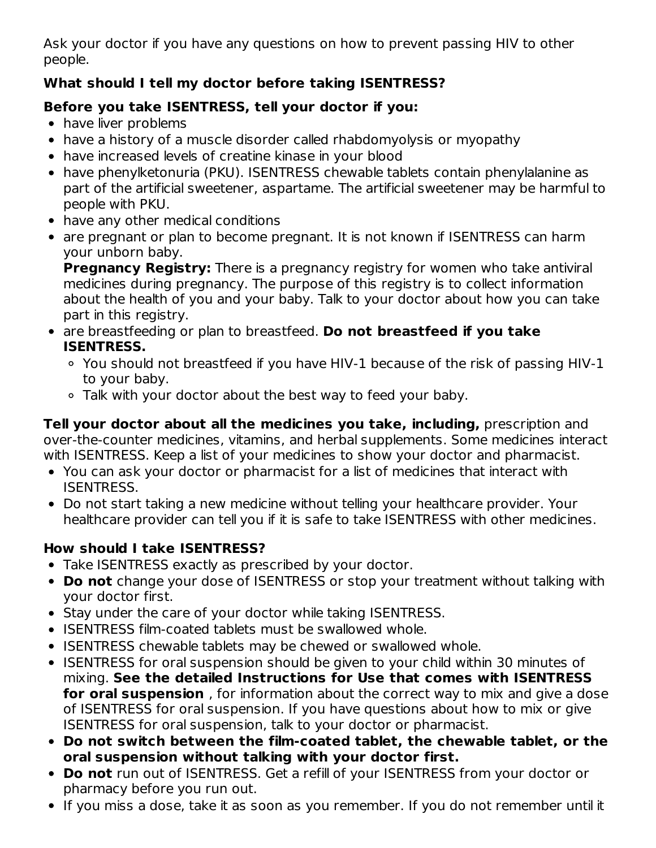Ask your doctor if you have any questions on how to prevent passing HIV to other people.

## **What should I tell my doctor before taking ISENTRESS?**

## **Before you take ISENTRESS, tell your doctor if you:**

- have liver problems
- have a history of a muscle disorder called rhabdomyolysis or myopathy
- have increased levels of creatine kinase in your blood
- have phenylketonuria (PKU). ISENTRESS chewable tablets contain phenylalanine as part of the artificial sweetener, aspartame. The artificial sweetener may be harmful to people with PKU.
- have any other medical conditions
- are pregnant or plan to become pregnant. It is not known if ISENTRESS can harm your unborn baby.

**Pregnancy Registry:** There is a pregnancy registry for women who take antiviral medicines during pregnancy. The purpose of this registry is to collect information about the health of you and your baby. Talk to your doctor about how you can take part in this registry.

- are breastfeeding or plan to breastfeed. **Do not breastfeed if you take ISENTRESS.**
	- You should not breastfeed if you have HIV-1 because of the risk of passing HIV-1 to your baby.
	- Talk with your doctor about the best way to feed your baby.

**Tell your doctor about all the medicines you take, including,** prescription and over-the-counter medicines, vitamins, and herbal supplements. Some medicines interact with ISENTRESS. Keep a list of your medicines to show your doctor and pharmacist.

- You can ask your doctor or pharmacist for a list of medicines that interact with ISENTRESS.
- Do not start taking a new medicine without telling your healthcare provider. Your healthcare provider can tell you if it is safe to take ISENTRESS with other medicines.

## **How should I take ISENTRESS?**

- Take ISENTRESS exactly as prescribed by your doctor.
- **Do not** change your dose of ISENTRESS or stop your treatment without talking with your doctor first.
- Stay under the care of your doctor while taking ISENTRESS.
- ISENTRESS film-coated tablets must be swallowed whole.
- ISENTRESS chewable tablets may be chewed or swallowed whole.
- ISENTRESS for oral suspension should be given to your child within 30 minutes of mixing. **See the detailed Instructions for Use that comes with ISENTRESS for oral suspension** , for information about the correct way to mix and give a dose of ISENTRESS for oral suspension. If you have questions about how to mix or give ISENTRESS for oral suspension, talk to your doctor or pharmacist.
- **Do not switch between the film-coated tablet, the chewable tablet, or the oral suspension without talking with your doctor first.**
- **Do not** run out of ISENTRESS. Get a refill of your ISENTRESS from your doctor or pharmacy before you run out.
- If you miss a dose, take it as soon as you remember. If you do not remember until it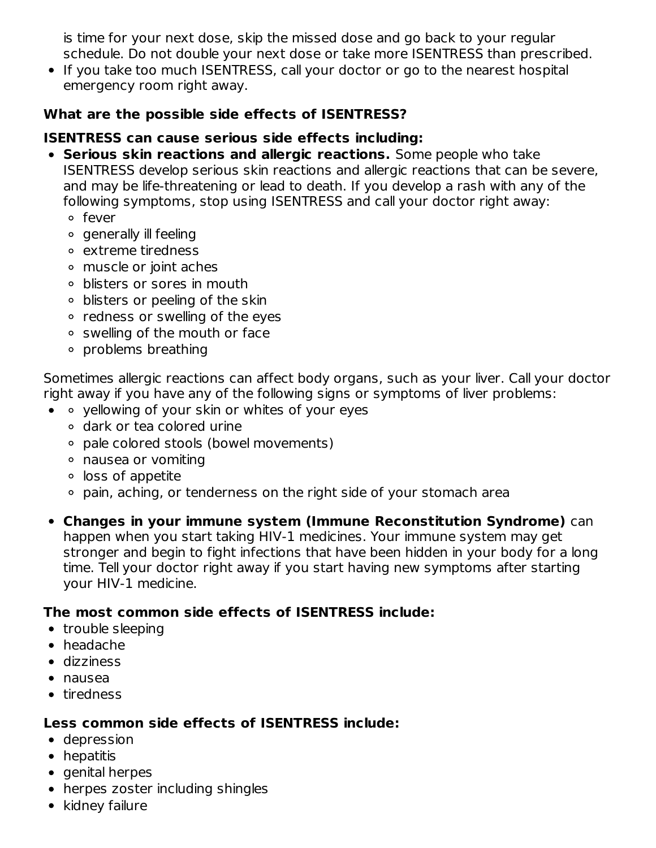is time for your next dose, skip the missed dose and go back to your regular schedule. Do not double your next dose or take more ISENTRESS than prescribed.

• If you take too much ISENTRESS, call your doctor or go to the nearest hospital emergency room right away.

#### **What are the possible side effects of ISENTRESS?**

## **ISENTRESS can cause serious side effects including:**

- **Serious skin reactions and allergic reactions.** Some people who take ISENTRESS develop serious skin reactions and allergic reactions that can be severe, and may be life-threatening or lead to death. If you develop a rash with any of the following symptoms, stop using ISENTRESS and call your doctor right away:
	- fever
	- generally ill feeling
	- extreme tiredness
	- muscle or joint aches
	- blisters or sores in mouth
	- blisters or peeling of the skin
	- redness or swelling of the eyes
	- swelling of the mouth or face
	- ∘ problems breathing

Sometimes allergic reactions can affect body organs, such as your liver. Call your doctor right away if you have any of the following signs or symptoms of liver problems:

- $\bullet$   $\circ$  yellowing of your skin or whites of your eyes
	- dark or tea colored urine
	- pale colored stools (bowel movements)
	- nausea or vomiting
	- $\circ$  loss of appetite
	- pain, aching, or tenderness on the right side of your stomach area
- **Changes in your immune system (Immune Reconstitution Syndrome)** can happen when you start taking HIV-1 medicines. Your immune system may get stronger and begin to fight infections that have been hidden in your body for a long time. Tell your doctor right away if you start having new symptoms after starting your HIV-1 medicine.

#### **The most common side effects of ISENTRESS include:**

- trouble sleeping
- headache
- dizziness
- nausea
- tiredness

#### **Less common side effects of ISENTRESS include:**

- depression
- hepatitis
- genital herpes
- herpes zoster including shingles
- kidney failure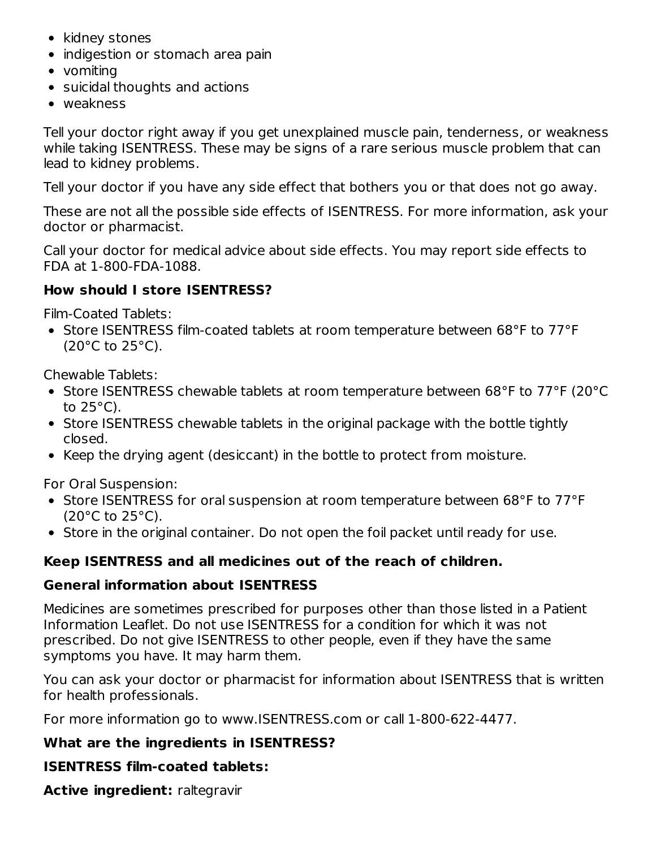- kidney stones
- indigestion or stomach area pain
- vomiting
- suicidal thoughts and actions
- weakness

Tell your doctor right away if you get unexplained muscle pain, tenderness, or weakness while taking ISENTRESS. These may be signs of a rare serious muscle problem that can lead to kidney problems.

Tell your doctor if you have any side effect that bothers you or that does not go away.

These are not all the possible side effects of ISENTRESS. For more information, ask your doctor or pharmacist.

Call your doctor for medical advice about side effects. You may report side effects to FDA at 1-800-FDA-1088.

#### **How should I store ISENTRESS?**

Film-Coated Tablets:

• Store ISENTRESS film-coated tablets at room temperature between 68°F to 77°F  $(20^{\circ}$ C to  $25^{\circ}$ C).

Chewable Tablets:

- Store ISENTRESS chewable tablets at room temperature between 68°F to 77°F (20°C to  $25^{\circ}$ C).
- Store ISENTRESS chewable tablets in the original package with the bottle tightly closed.
- Keep the drying agent (desiccant) in the bottle to protect from moisture.

For Oral Suspension:

- Store ISENTRESS for oral suspension at room temperature between 68°F to 77°F  $(20^{\circ}$ C to  $25^{\circ}$ C).
- Store in the original container. Do not open the foil packet until ready for use.

## **Keep ISENTRESS and all medicines out of the reach of children.**

#### **General information about ISENTRESS**

Medicines are sometimes prescribed for purposes other than those listed in a Patient Information Leaflet. Do not use ISENTRESS for a condition for which it was not prescribed. Do not give ISENTRESS to other people, even if they have the same symptoms you have. It may harm them.

You can ask your doctor or pharmacist for information about ISENTRESS that is written for health professionals.

For more information go to www.ISENTRESS.com or call 1-800-622-4477.

#### **What are the ingredients in ISENTRESS?**

## **ISENTRESS film-coated tablets:**

**Active ingredient:** raltegravir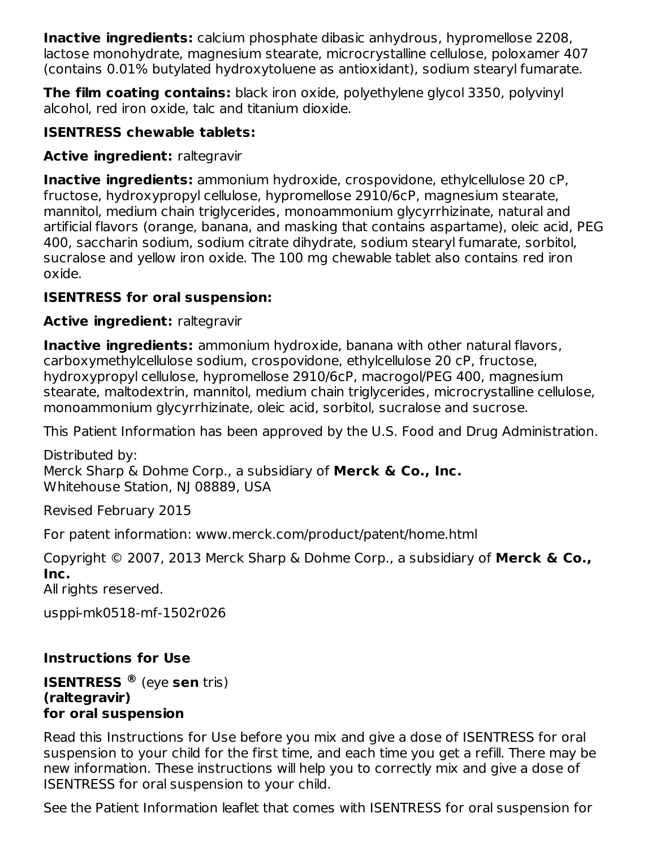**Inactive ingredients:** calcium phosphate dibasic anhydrous, hypromellose 2208, lactose monohydrate, magnesium stearate, microcrystalline cellulose, poloxamer 407 (contains 0.01% butylated hydroxytoluene as antioxidant), sodium stearyl fumarate.

**The film coating contains:** black iron oxide, polyethylene glycol 3350, polyvinyl alcohol, red iron oxide, talc and titanium dioxide.

## **ISENTRESS chewable tablets:**

## **Active ingredient:** raltegravir

**Inactive ingredients:** ammonium hydroxide, crospovidone, ethylcellulose 20 cP, fructose, hydroxypropyl cellulose, hypromellose 2910/6cP, magnesium stearate, mannitol, medium chain triglycerides, monoammonium glycyrrhizinate, natural and artificial flavors (orange, banana, and masking that contains aspartame), oleic acid, PEG 400, saccharin sodium, sodium citrate dihydrate, sodium stearyl fumarate, sorbitol, sucralose and yellow iron oxide. The 100 mg chewable tablet also contains red iron oxide.

## **ISENTRESS for oral suspension:**

## **Active ingredient:** raltegravir

**Inactive ingredients:** ammonium hydroxide, banana with other natural flavors, carboxymethylcellulose sodium, crospovidone, ethylcellulose 20 cP, fructose, hydroxypropyl cellulose, hypromellose 2910/6cP, macrogol/PEG 400, magnesium stearate, maltodextrin, mannitol, medium chain triglycerides, microcrystalline cellulose, monoammonium glycyrrhizinate, oleic acid, sorbitol, sucralose and sucrose.

This Patient Information has been approved by the U.S. Food and Drug Administration.

Distributed by: Merck Sharp & Dohme Corp., a subsidiary of **Merck & Co., Inc.** Whitehouse Station, NJ 08889, USA

Revised February 2015

For patent information: www.merck.com/product/patent/home.html

Copyright © 2007, 2013 Merck Sharp & Dohme Corp., a subsidiary of **Merck & Co., Inc.**

All rights reserved.

usppi-mk0518-mf-1502r026

## **Instructions for Use**

#### **ISENTRESS** (eye **sen** tris) **®(raltegravir) for oral suspension**

Read this Instructions for Use before you mix and give a dose of ISENTRESS for oral suspension to your child for the first time, and each time you get a refill. There may be new information. These instructions will help you to correctly mix and give a dose of ISENTRESS for oral suspension to your child.

See the Patient Information leaflet that comes with ISENTRESS for oral suspension for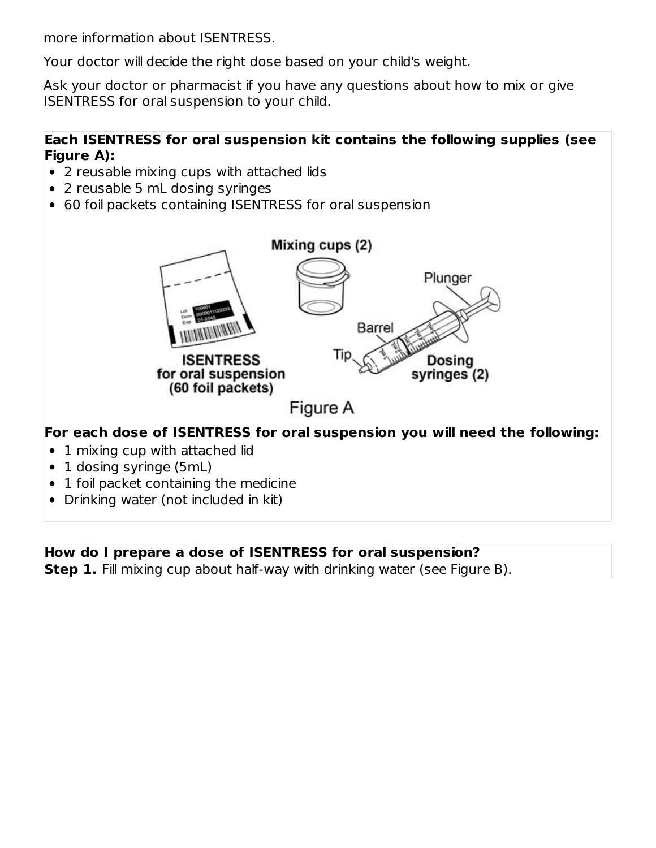more information about ISENTRESS.

Your doctor will decide the right dose based on your child's weight.

Ask your doctor or pharmacist if you have any questions about how to mix or give ISENTRESS for oral suspension to your child.

# **Each ISENTRESS for oral suspension kit contains the following supplies (see Figure A):**

- 2 reusable mixing cups with attached lids
- 2 reusable 5 mL dosing syringes
- 60 foil packets containing ISENTRESS for oral suspension



#### **How do I prepare a dose of ISENTRESS for oral suspension?**

**Step 1.** Fill mixing cup about half-way with drinking water (see Figure B).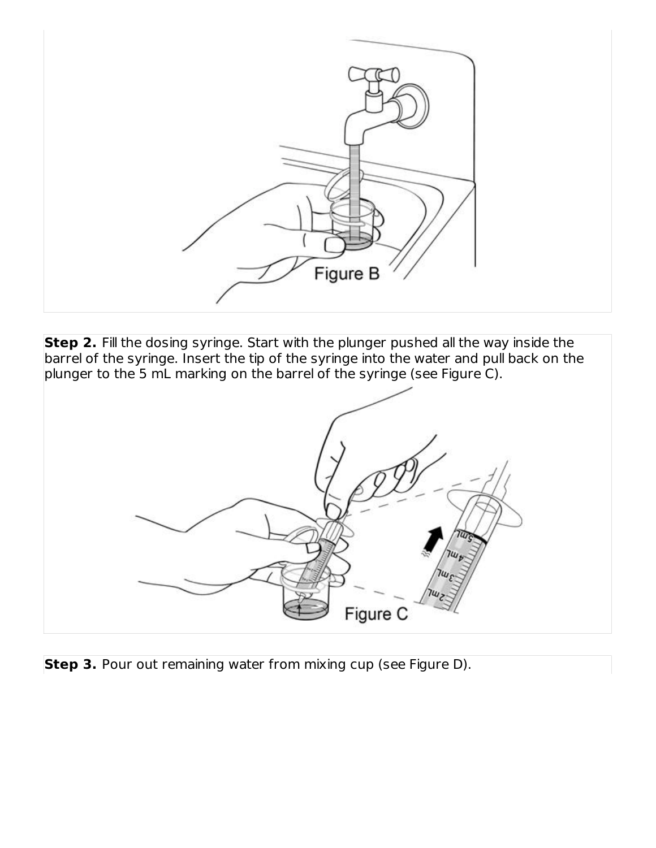

**Step 2.** Fill the dosing syringe. Start with the plunger pushed all the way inside the barrel of the syringe. Insert the tip of the syringe into the water and pull back on the plunger to the 5 mL marking on the barrel of the syringe (see Figure C).



**Step 3.** Pour out remaining water from mixing cup (see Figure D).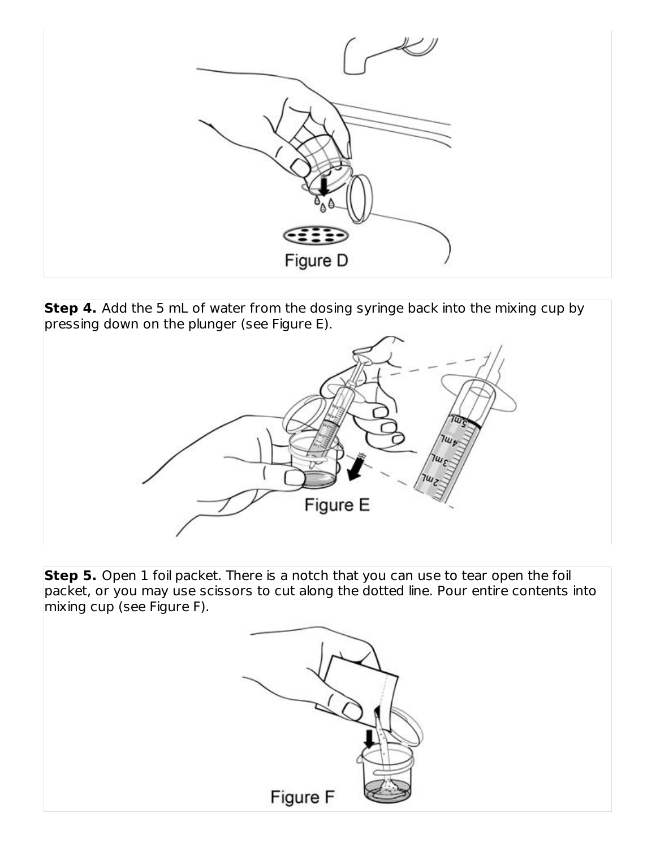

**Step 4.** Add the 5 mL of water from the dosing syringe back into the mixing cup by pressing down on the plunger (see Figure E).



**Step 5.** Open 1 foil packet. There is a notch that you can use to tear open the foil packet, or you may use scissors to cut along the dotted line. Pour entire contents into mixing cup (see Figure F).

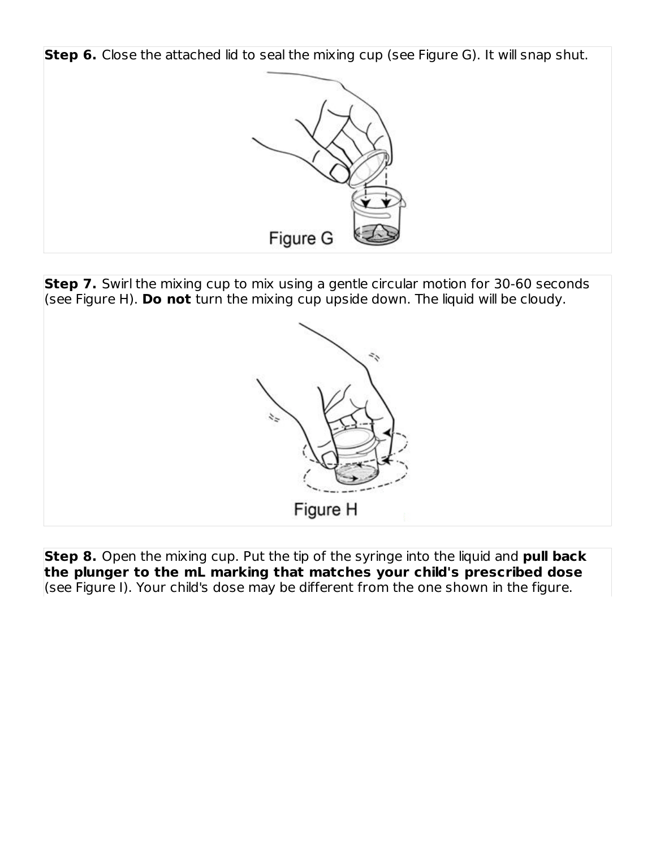

**Step 7.** Swirl the mixing cup to mix using a gentle circular motion for 30-60 seconds (see Figure H). **Do not** turn the mixing cup upside down. The liquid will be cloudy.



**Step 8.** Open the mixing cup. Put the tip of the syringe into the liquid and **pull back the plunger to the mL marking that matches your child's prescribed dose** (see Figure I). Your child's dose may be different from the one shown in the figure.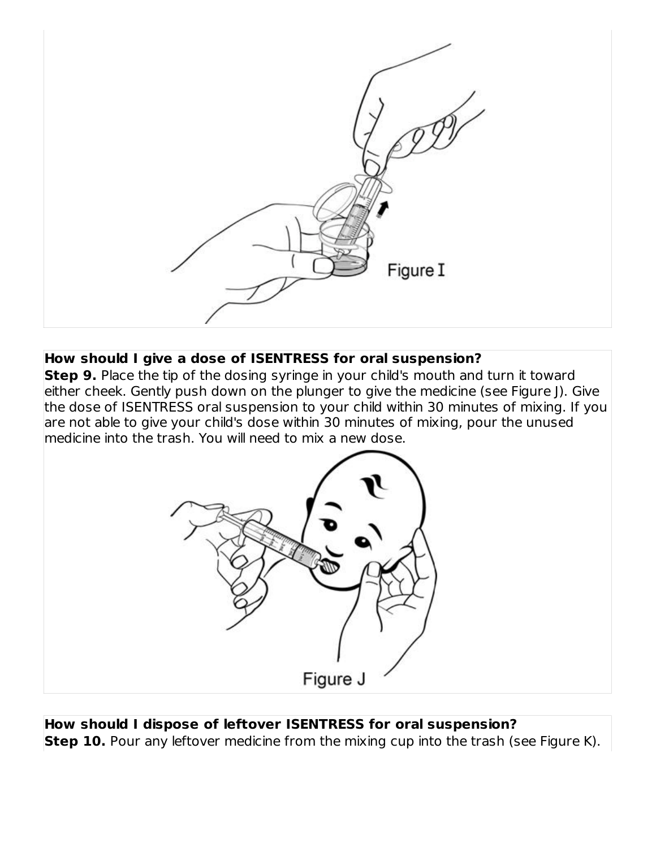

#### **How should I give a dose of ISENTRESS for oral suspension?**

**Step 9.** Place the tip of the dosing syringe in your child's mouth and turn it toward either cheek. Gently push down on the plunger to give the medicine (see Figure J). Give the dose of ISENTRESS oral suspension to your child within 30 minutes of mixing. If you are not able to give your child's dose within 30 minutes of mixing, pour the unused medicine into the trash. You will need to mix a new dose.



**How should I dispose of leftover ISENTRESS for oral suspension? Step 10.** Pour any leftover medicine from the mixing cup into the trash (see Figure K).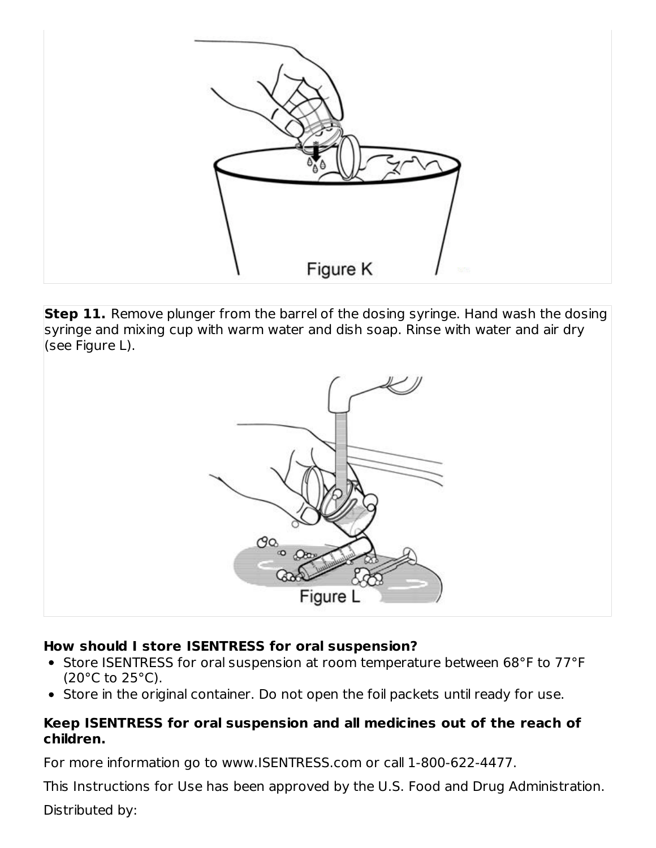

**Step 11.** Remove plunger from the barrel of the dosing syringe. Hand wash the dosing syringe and mixing cup with warm water and dish soap. Rinse with water and air dry (see Figure L).



## **How should I store ISENTRESS for oral suspension?**

- Store ISENTRESS for oral suspension at room temperature between 68°F to 77°F (20°C to 25°C).
- Store in the original container. Do not open the foil packets until ready for use.

## **Keep ISENTRESS for oral suspension and all medicines out of the reach of children.**

For more information go to www.ISENTRESS.com or call 1-800-622-4477.

This Instructions for Use has been approved by the U.S. Food and Drug Administration. Distributed by: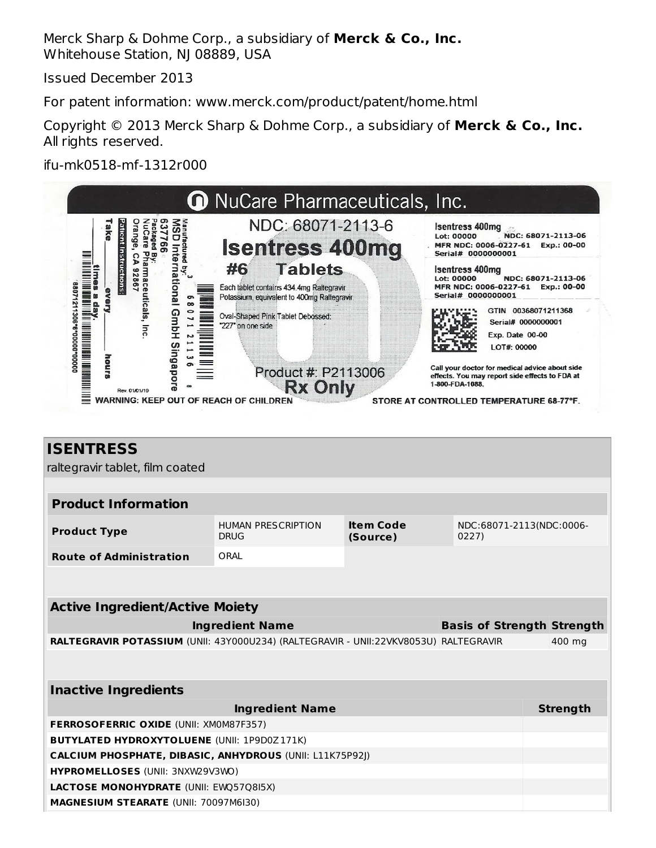Merck Sharp & Dohme Corp., a subsidiary of **Merck & Co., Inc.** Whitehouse Station, NJ 08889, USA

Issued December 2013

For patent information: www.merck.com/product/patent/home.html

Copyright © 2013 Merck Sharp & Dohme Corp., a subsidiary of **Merck & Co., Inc.** All rights reserved.

ifu-mk0518-mf-1312r000



| <b>ISENTRESS</b><br>raltegravir tablet, film coated                                  |                                          |                              |                                   |  |                 |  |  |
|--------------------------------------------------------------------------------------|------------------------------------------|------------------------------|-----------------------------------|--|-----------------|--|--|
|                                                                                      |                                          |                              |                                   |  |                 |  |  |
| <b>Product Information</b>                                                           |                                          |                              |                                   |  |                 |  |  |
| <b>Product Type</b>                                                                  | <b>HUMAN PRESCRIPTION</b><br><b>DRUG</b> | <b>Item Code</b><br>(Source) | NDC:68071-2113(NDC:0006-<br>0227) |  |                 |  |  |
| <b>Route of Administration</b>                                                       | ORAL                                     |                              |                                   |  |                 |  |  |
|                                                                                      |                                          |                              |                                   |  |                 |  |  |
|                                                                                      | <b>Active Ingredient/Active Moiety</b>   |                              |                                   |  |                 |  |  |
|                                                                                      | <b>Ingredient Name</b>                   |                              | <b>Basis of Strength Strength</b> |  |                 |  |  |
| RALTEGRAVIR POTASSIUM (UNII: 43Y000U234) (RALTEGRAVIR - UNII:22VKV8053U) RALTEGRAVIR |                                          |                              |                                   |  | 400 mg          |  |  |
|                                                                                      |                                          |                              |                                   |  |                 |  |  |
| <b>Inactive Ingredients</b>                                                          |                                          |                              |                                   |  |                 |  |  |
|                                                                                      | <b>Ingredient Name</b>                   |                              |                                   |  | <b>Strength</b> |  |  |
| FERROSOFERRIC OXIDE (UNII: XM0M87F357)                                               |                                          |                              |                                   |  |                 |  |  |
| <b>BUTYLATED HYDROXYTOLUENE (UNII: 1P9D0Z171K)</b>                                   |                                          |                              |                                   |  |                 |  |  |
| <b>CALCIUM PHOSPHATE, DIBASIC, ANHYDROUS (UNII: L11K75P92))</b>                      |                                          |                              |                                   |  |                 |  |  |
| HYPROMELLOSES (UNII: 3NXW29V3WO)                                                     |                                          |                              |                                   |  |                 |  |  |
| <b>LACTOSE MONOHYDRATE (UNII: EWQ57Q8I5X)</b>                                        |                                          |                              |                                   |  |                 |  |  |
| <b>MAGNESIUM STEARATE (UNII: 70097M6I30)</b>                                         |                                          |                              |                                   |  |                 |  |  |
|                                                                                      |                                          |                              |                                   |  |                 |  |  |